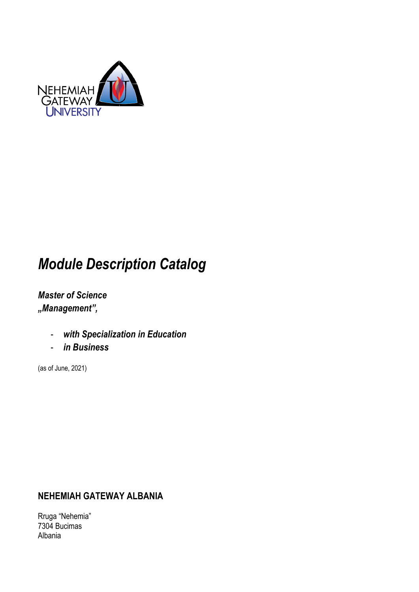

# *Module Description Catalog*

*Master of Science "Management",* 

- *with Specialization in Education*
- *in Business*

(as of June, 2021)

### **NEHEMIAH GATEWAY ALBANIA**

Rruga "Nehemia" 7304 Bucimas Albania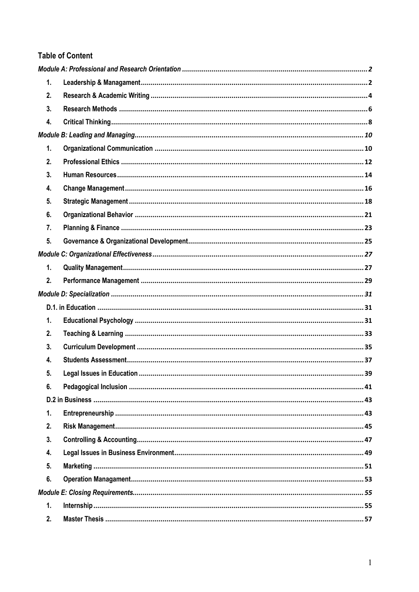### **Table of Content**

| 1. |  |
|----|--|
| 2. |  |
| 3. |  |
| 4. |  |
|    |  |
| 1. |  |
| 2. |  |
| 3. |  |
| 4. |  |
| 5. |  |
| 6. |  |
| 7. |  |
| 5. |  |
|    |  |
| 1. |  |
| 2. |  |
|    |  |
|    |  |
| 1. |  |
| 2. |  |
| 3. |  |
| 4. |  |
| 5. |  |
| 6. |  |
|    |  |
| 1. |  |
| 2. |  |
| 3. |  |
| 4. |  |
| 5. |  |
| 6. |  |
|    |  |
| 1. |  |
| 2. |  |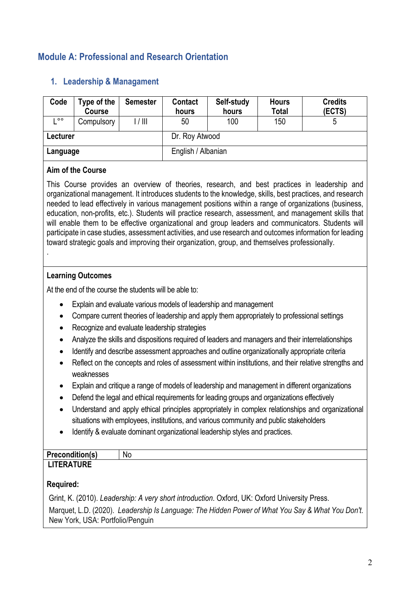### **Module A: Professional and Research Orientation**

| Code     | Type of the<br><b>Course</b> | <b>Semester</b> | <b>Contact</b><br>hours | Self-study<br>hours | <b>Hours</b><br><b>Total</b> | <b>Credits</b><br>(ECTS) |
|----------|------------------------------|-----------------|-------------------------|---------------------|------------------------------|--------------------------|
| $\circ$  | Compulsory                   | l / III         | 50                      | 100                 | 150                          |                          |
| Lecturer |                              |                 | Dr. Roy Atwood          |                     |                              |                          |
| Language |                              |                 | English / Albanian      |                     |                              |                          |

### **1. Leadership & Managament**

#### **Aim of the Course**

This Course provides an overview of theories, research, and best practices in leadership and organizational management. It introduces students to the knowledge, skills, best practices, and research needed to lead effectively in various management positions within a range of organizations (business, education, non-profits, etc.). Students will practice research, assessment, and management skills that will enable them to be effective organizational and group leaders and communicators. Students will participate in case studies, assessment activities, and use research and outcomes information for leading toward strategic goals and improving their organization, group, and themselves professionally. .

### **Learning Outcomes**

At the end of the course the students will be able to:

- Explain and evaluate various models of leadership and management
- Compare current theories of leadership and apply them appropriately to professional settings
- Recognize and evaluate leadership strategies
- Analyze the skills and dispositions required of leaders and managers and their interrelationships
- Identify and describe assessment approaches and outline organizationally appropriate criteria
- Reflect on the concepts and roles of assessment within institutions, and their relative strengths and weaknesses
- Explain and critique a range of models of leadership and management in different organizations
- Defend the legal and ethical requirements for leading groups and organizations effectively
- Understand and apply ethical principles appropriately in complex relationships and organizational situations with employees, institutions, and various community and public stakeholders
- Identify & evaluate dominant organizational leadership styles and practices.

| <b>Precondition(s)</b> | No |
|------------------------|----|
| <b>TURE</b><br>------  |    |

### **Required:**

Grint, K. (2010). *Leadership: A very short introduction*. Oxford, UK: Oxford University Press. Marquet, L.D. (2020). *Leadership Is Language: The Hidden Power of What You Say & What You Don't*. New York, USA: Portfolio/Penguin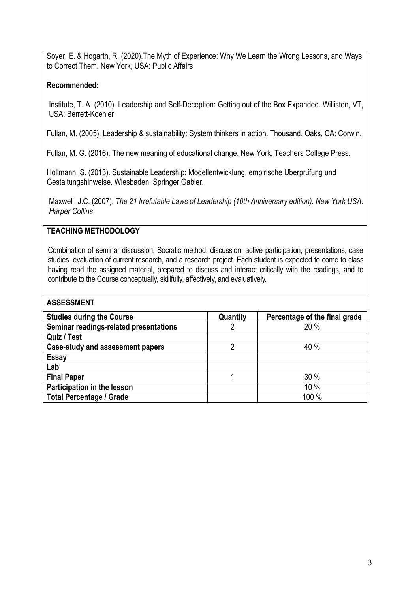Soyer, E. & Hogarth, R. (2020).The Myth of Experience: Why We Learn the Wrong Lessons, and Ways to Correct Them. New York, USA: Public Affairs

#### **Recommended:**

Institute, T. A. (2010). Leadership and Self-Deception: Getting out of the Box Expanded. Williston, VT, USA: Berrett-Koehler.

Fullan, M. (2005). Leadership & sustainability: System thinkers in action. Thousand, Oaks, CA: Corwin.

Fullan, M. G. (2016). The new meaning of educational change. New York: Teachers College Press.

Hollmann, S. (2013). Sustainable Leadership: Modellentwicklung, empirische Uberprufung und Gestaltungshinweise. Wiesbaden: Springer Gabler.

Maxwell, J.C. (2007). *The 21 Irrefutable Laws of Leadership (10th Anniversary edition). New York USA: Harper Collins*

### **TEACHING METHODOLOGY**

Combination of seminar discussion, Socratic method, discussion, active participation, presentations, case studies, evaluation of current research, and a research project. Each student is expected to come to class having read the assigned material, prepared to discuss and interact critically with the readings, and to contribute to the Course conceptually, skillfully, affectively, and evaluatively.

| <b>Studies during the Course</b>        | Quantity | Percentage of the final grade |
|-----------------------------------------|----------|-------------------------------|
| Seminar readings-related presentations  |          | 20 %                          |
| Quiz / Test                             |          |                               |
| <b>Case-study and assessment papers</b> |          | 40 %                          |
| <b>Essay</b>                            |          |                               |
| Lab                                     |          |                               |
| <b>Final Paper</b>                      |          | 30 %                          |
| Participation in the lesson             |          | 10%                           |
| <b>Total Percentage / Grade</b>         |          | 100 %                         |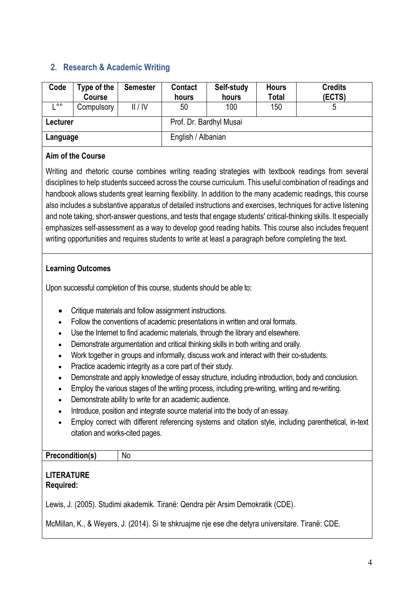### **2. Research & Academic Writing**

| Code     | Type of the<br>Course | <b>Semester</b> | <b>Contact</b><br>hours | Self-study<br>hours | <b>Hours</b><br><b>Total</b> | <b>Credits</b><br>(ECTS) |  |
|----------|-----------------------|-----------------|-------------------------|---------------------|------------------------------|--------------------------|--|
| $\circ$  | Compulsory            | II / IV         | 50                      | 100                 | 150                          | 5                        |  |
| Lecturer |                       |                 | Prof. Dr. Bardhyl Musai |                     |                              |                          |  |
| Language |                       |                 | English / Albanian      |                     |                              |                          |  |

### **Aim of the Course**

Writing and rhetoric course combines writing reading strategies with textbook readings from several disciplines to help students succeed across the course curriculum. This useful combination of readings and handbook allows students great learning flexibility. In addition to the many academic readings, this course also includes a substantive apparatus of detailed instructions and exercises, techniques for active listening and note taking, short-answer questions, and tests that engage students' critical-thinking skills. It especially emphasizes self-assessment as a way to develop good reading habits. This course also includes frequent writing opportunities and requires students to write at least a paragraph before completing the text.

### **Learning Outcomes**

Upon successful completion of this course, students should be able to:

- Critique materials and follow assignment instructions.
- Follow the conventions of academic presentations in written and oral formats.
- Use the Internet to find academic materials, through the library and elsewhere.
- Demonstrate argumentation and critical thinking skills in both writing and orally.
- Work together in groups and informally, discuss work and interact with their co-students.
- Practice academic integrity as a core part of their study.
- Demonstrate and apply knowledge of essay structure, including introduction, body and conclusion.
- Employ the various stages of the writing process, including pre-writing, writing and re-writing.
- Demonstrate ability to write for an academic audience.
- Introduce, position and integrate source material into the body of an essay.
- Employ correct with different referencing systems and citation style, including parenthetical, in-text citation and works-cited pages.

### **Precondition(s)** No

#### **LITERATURE Required:**

Lewis, J. (2005). Studimi akademik. Tiranë: Qendra për Arsim Demokratik (CDE).

McMillan, K., & Weyers, J. (2014). Si te shkruajme nje ese dhe detyra universitare. Tiranë: CDE.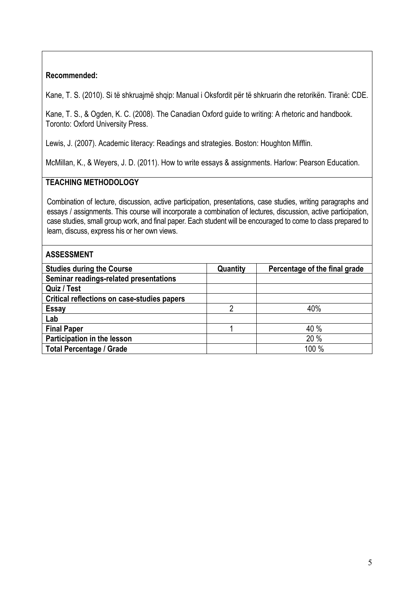#### **Recommended:**

Kane, T. S. (2010). Si të shkruajmë shqip: Manual i Oksfordit për të shkruarin dhe retorikën. Tiranë: CDE.

Kane, T. S., & Ogden, K. C. (2008). The Canadian Oxford guide to writing: A rhetoric and handbook. Toronto: Oxford University Press.

Lewis, J. (2007). Academic literacy: Readings and strategies. Boston: Houghton Mifflin.

McMillan, K., & Weyers, J. D. (2011). How to write essays & assignments. Harlow: Pearson Education.

### **TEACHING METHODOLOGY**

Combination of lecture, discussion, active participation, presentations, case studies, writing paragraphs and essays / assignments. This course will incorporate a combination of lectures, discussion, active participation, case studies, small group work, and final paper. Each student will be encouraged to come to class prepared to learn, discuss, express his or her own views.

| <b>Studies during the Course</b>            | Quantity | Percentage of the final grade |
|---------------------------------------------|----------|-------------------------------|
| Seminar readings-related presentations      |          |                               |
| Quiz / Test                                 |          |                               |
| Critical reflections on case-studies papers |          |                               |
| <b>Essay</b>                                | っ        | 40%                           |
| Lab                                         |          |                               |
| <b>Final Paper</b>                          |          | 40 %                          |
| Participation in the lesson                 |          | 20 %                          |
| <b>Total Percentage / Grade</b>             |          | 100 %                         |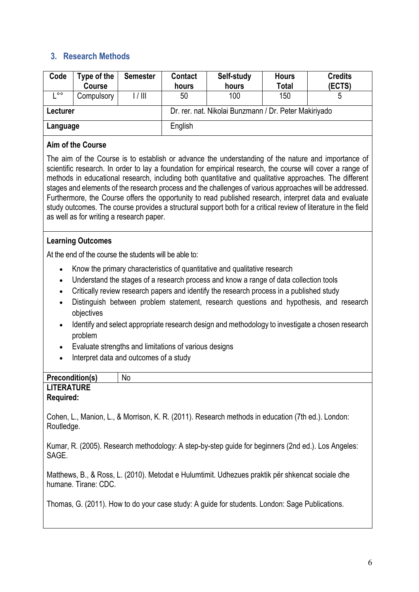### **3. Research Methods**

| Code     | Type of the<br><b>Course</b> | <b>Semester</b> | <b>Contact</b><br>hours | Self-study<br>hours                                   | <b>Hours</b><br><b>Total</b> | <b>Credits</b><br>(ECTS) |
|----------|------------------------------|-----------------|-------------------------|-------------------------------------------------------|------------------------------|--------------------------|
| ㅇㅇ       | Compulsory                   | 1/111           | 50                      | 100                                                   | 150                          | 5                        |
| Lecturer |                              |                 |                         | Dr. rer. nat. Nikolai Bunzmann / Dr. Peter Makiriyado |                              |                          |
| Language |                              |                 | English                 |                                                       |                              |                          |

#### **Aim of the Course**

The aim of the Course is to establish or advance the understanding of the nature and importance of scientific research. In order to lay a foundation for empirical research, the course will cover a range of methods in educational research, including both quantitative and qualitative approaches. The different stages and elements of the research process and the challenges of various approaches will be addressed. Furthermore, the Course offers the opportunity to read published research, interpret data and evaluate study outcomes. The course provides a structural support both for a critical review of literature in the field as well as for writing a research paper.

#### **Learning Outcomes**

At the end of the course the students will be able to:

- Know the primary characteristics of quantitative and qualitative research
- Understand the stages of a research process and know a range of data collection tools
- Critically review research papers and identify the research process in a published study
- Distinguish between problem statement, research questions and hypothesis, and research objectives
- Identify and select appropriate research design and methodology to investigate a chosen research problem
- Evaluate strengths and limitations of various designs
- Interpret data and outcomes of a study

| Precondition(s)   | No |
|-------------------|----|
| <b>LITERATURE</b> |    |
| <b>Required:</b>  |    |

Cohen, L., Manion, L., & Morrison, K. R. (2011). Research methods in education (7th ed.). London: Routledge.

Kumar, R. (2005). Research methodology: A step-by-step guide for beginners (2nd ed.). Los Angeles: SAGE.

Matthews, B., & Ross, L. (2010). Metodat e Hulumtimit. Udhezues praktik për shkencat sociale dhe humane. Tirane: CDC.

Thomas, G. (2011). How to do your case study: A guide for students. London: Sage Publications.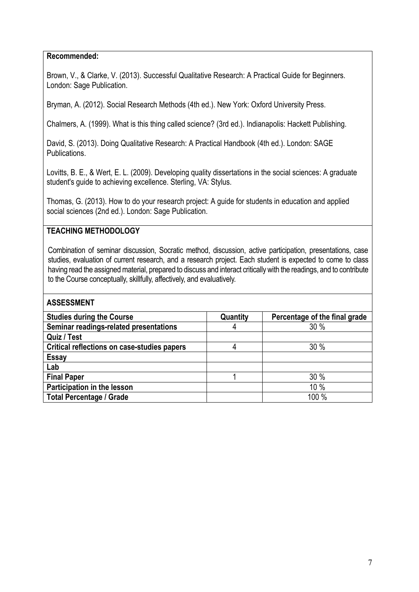#### **Recommended:**

Brown, V., & Clarke, V. (2013). Successful Qualitative Research: A Practical Guide for Beginners. London: Sage Publication.

Bryman, A. (2012). Social Research Methods (4th ed.). New York: Oxford University Press.

Chalmers, A. (1999). What is this thing called science? (3rd ed.). Indianapolis: Hackett Publishing.

David, S. (2013). Doing Qualitative Research: A Practical Handbook (4th ed.). London: SAGE Publications.

Lovitts, B. E., & Wert, E. L. (2009). Developing quality dissertations in the social sciences: A graduate student's guide to achieving excellence. Sterling, VA: Stylus.

Thomas, G. (2013). How to do your research project: A guide for students in education and applied social sciences (2nd ed.). London: Sage Publication.

### **TEACHING METHODOLOGY**

Combination of seminar discussion, Socratic method, discussion, active participation, presentations, case studies, evaluation of current research, and a research project. Each student is expected to come to class having read the assigned material, prepared to discuss and interact critically with the readings, and to contribute to the Course conceptually, skillfully, affectively, and evaluatively.

| <b>Studies during the Course</b>            | Quantity | Percentage of the final grade |
|---------------------------------------------|----------|-------------------------------|
| Seminar readings-related presentations      | 4        | 30%                           |
| Quiz / Test                                 |          |                               |
| Critical reflections on case-studies papers | 4        | 30%                           |
| <b>Essay</b>                                |          |                               |
| Lab                                         |          |                               |
| <b>Final Paper</b>                          |          | 30%                           |
| Participation in the lesson                 |          | 10%                           |
| <b>Total Percentage / Grade</b>             |          | 100 %                         |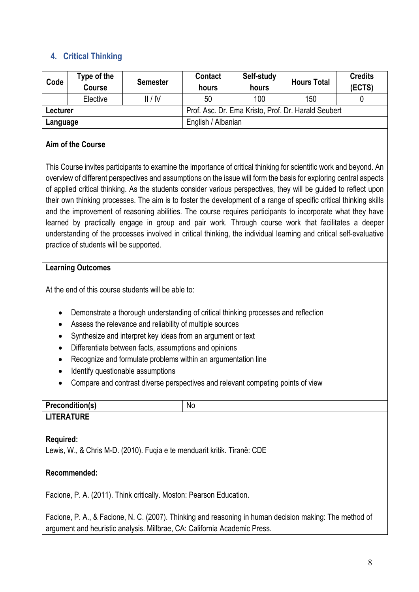### **4. Critical Thinking**

| Code     | Type of the<br><b>Course</b> | <b>Semester</b> | <b>Contact</b><br>hours                             | Self-study<br>hours | <b>Hours Total</b> | <b>Credits</b><br>(ECTS) |
|----------|------------------------------|-----------------|-----------------------------------------------------|---------------------|--------------------|--------------------------|
|          | Elective                     | II/IV           | 50                                                  | 100                 | 150                |                          |
| Lecturer |                              |                 | Prof. Asc. Dr. Ema Kristo, Prof. Dr. Harald Seubert |                     |                    |                          |
| Language |                              |                 | English / Albanian                                  |                     |                    |                          |

### **Aim of the Course**

This Course invites participants to examine the importance of critical thinking for scientific work and beyond. An overview of different perspectives and assumptions on the issue will form the basis for exploring central aspects of applied critical thinking. As the students consider various perspectives, they will be guided to reflect upon their own thinking processes. The aim is to foster the development of a range of specific critical thinking skills and the improvement of reasoning abilities. The course requires participants to incorporate what they have learned by practically engage in group and pair work. Through course work that facilitates a deeper understanding of the processes involved in critical thinking, the individual learning and critical self-evaluative practice of students will be supported.

#### **Learning Outcomes**

At the end of this course students will be able to:

- Demonstrate a thorough understanding of critical thinking processes and reflection
- Assess the relevance and reliability of multiple sources
- Synthesize and interpret key ideas from an argument or text
- Differentiate between facts, assumptions and opinions
- Recognize and formulate problems within an argumentation line
- Identify questionable assumptions
- Compare and contrast diverse perspectives and relevant competing points of view

| .              | <b>No</b> |
|----------------|-----------|
| $\blacksquare$ |           |

### **LITERATURE**

#### **Required:**

Lewis, W., & Chris M-D. (2010). Fuqia e te menduarit kritik. Tiranë: CDE

#### **Recommended:**

Facione, P. A. (2011). Think critically. Moston: Pearson Education.

Facione, P. A., & Facione, N. C. (2007). Thinking and reasoning in human decision making: The method of argument and heuristic analysis. Millbrae, CA: California Academic Press.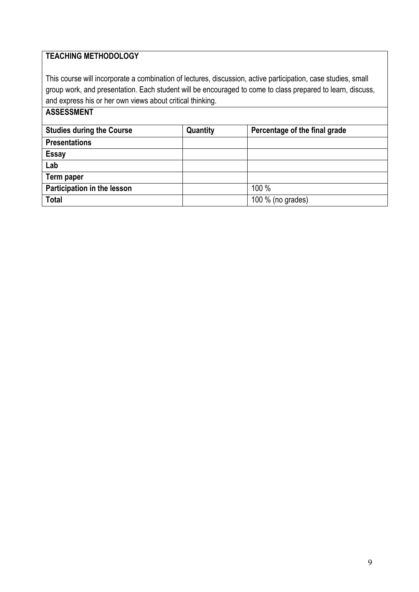### **TEACHING METHODOLOGY**

This course will incorporate a combination of lectures, discussion, active participation, case studies, small group work, and presentation. Each student will be encouraged to come to class prepared to learn, discuss, and express his or her own views about critical thinking.

| <b>Studies during the Course</b> | Quantity | Percentage of the final grade |
|----------------------------------|----------|-------------------------------|
| <b>Presentations</b>             |          |                               |
| <b>Essay</b>                     |          |                               |
| Lab                              |          |                               |
| Term paper                       |          |                               |
| Participation in the lesson      |          | 100 %                         |
| <b>Total</b>                     |          | 100 % (no grades)             |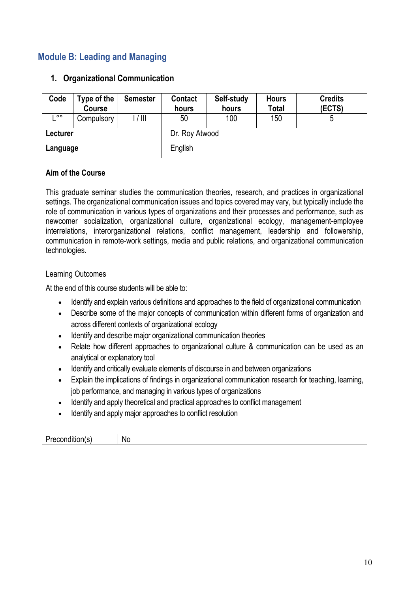### **Module B: Leading and Managing**

#### **1. Organizational Communication**

| Code     | Type of the<br><b>Course</b> | <b>Semester</b> | <b>Contact</b><br>hours | Self-study<br>hours | <b>Hours</b><br><b>Total</b> | <b>Credits</b><br>(ECTS) |
|----------|------------------------------|-----------------|-------------------------|---------------------|------------------------------|--------------------------|
| $\circ$  | Compulsory                   | 1/111           | 50                      | 100                 | 150                          | ა                        |
| Lecturer |                              |                 | Dr. Roy Atwood          |                     |                              |                          |
| Language |                              |                 | English                 |                     |                              |                          |

#### **Aim of the Course**

This graduate seminar studies the communication theories, research, and practices in organizational settings. The organizational communication issues and topics covered may vary, but typically include the role of communication in various types of organizations and their processes and performance, such as newcomer socialization, organizational culture, organizational ecology, management-employee interrelations, interorganizational relations, conflict management, leadership and followership, communication in remote-work settings, media and public relations, and organizational communication technologies.

#### Learning Outcomes

At the end of this course students will be able to:

- Identify and explain various definitions and approaches to the field of organizational communication
- Describe some of the major concepts of communication within different forms of organization and across different contexts of organizational ecology
- Identify and describe major organizational communication theories
- Relate how different approaches to organizational culture & communication can be used as an analytical or explanatory tool
- Identify and critically evaluate elements of discourse in and between organizations
- Explain the implications of findings in organizational communication research for teaching, learning, job performance, and managing in various types of organizations
- Identify and apply theoretical and practical approaches to conflict management
- Identify and apply major approaches to conflict resolution

Precondition(s) | No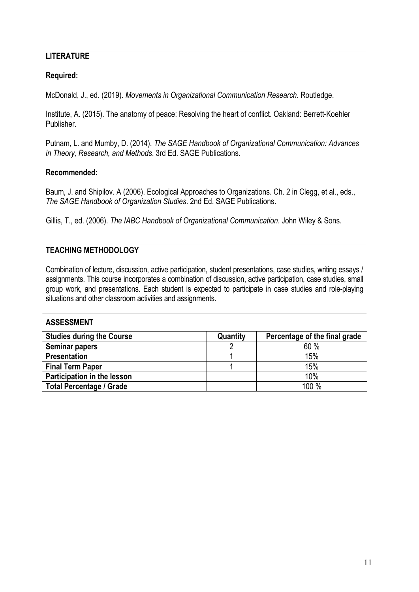### **LITERATURE**

#### **Required:**

McDonald, J., ed. (2019). *Movements in Organizational Communication Research*. Routledge.

Institute, A. (2015). The anatomy of peace: Resolving the heart of conflict. Oakland: Berrett-Koehler Publisher.

Putnam, L. and Mumby, D. (2014). *The SAGE Handbook of Organizational Communication: Advances in Theory, Research, and Methods*. 3rd Ed. SAGE Publications.

#### **Recommended:**

Baum, J. and Shipilov. A (2006). Ecological Approaches to Organizations. Ch. 2 in Clegg, et al., eds., *The SAGE Handbook of Organization Studies*. 2nd Ed. SAGE Publications.

Gillis, T., ed. (2006). *The IABC Handbook of Organizational Communication*. John Wiley & Sons.

### **TEACHING METHODOLOGY**

Combination of lecture, discussion, active participation, student presentations, case studies, writing essays / assignments. This course incorporates a combination of discussion, active participation, case studies, small group work, and presentations. Each student is expected to participate in case studies and role-playing situations and other classroom activities and assignments.

| <b>Studies during the Course</b> | Quantity | Percentage of the final grade |
|----------------------------------|----------|-------------------------------|
| <b>Seminar papers</b>            |          | 60%                           |
| <b>Presentation</b>              |          | 15%                           |
| <b>Final Term Paper</b>          |          | 15%                           |
| Participation in the lesson      |          | 10%                           |
| <b>Total Percentage / Grade</b>  |          | 100 %                         |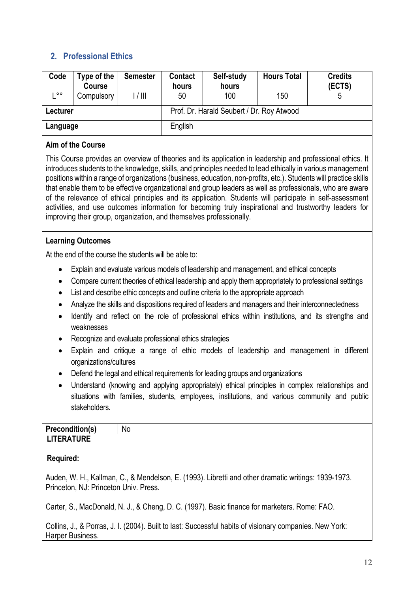### **2. Professional Ethics**

| Code     | Type of the<br><b>Course</b> | <b>Semester</b> | <b>Contact</b><br>hours | Self-study<br>hours                       | <b>Hours Total</b> | <b>Credits</b><br>(ECTS) |
|----------|------------------------------|-----------------|-------------------------|-------------------------------------------|--------------------|--------------------------|
| $\circ$  | Compulsory                   | 1/111           | 50                      | 100                                       | 150                |                          |
| Lecturer |                              |                 |                         | Prof. Dr. Harald Seubert / Dr. Roy Atwood |                    |                          |
| Language |                              |                 | English                 |                                           |                    |                          |

#### **Aim of the Course**

This Course provides an overview of theories and its application in leadership and professional ethics. It introduces students to the knowledge, skills, and principles needed to lead ethically in various management positions within a range of organizations (business, education, non-profits, etc.). Students will practice skills that enable them to be effective organizational and group leaders as well as professionals, who are aware of the relevance of ethical principles and its application. Students will participate in self-assessment activities, and use outcomes information for becoming truly inspirational and trustworthy leaders for improving their group, organization, and themselves professionally.

#### **Learning Outcomes**

At the end of the course the students will be able to:

- Explain and evaluate various models of leadership and management, and ethical concepts
- Compare current theories of ethical leadership and apply them appropriately to professional settings
- List and describe ethic concepts and outline criteria to the appropriate approach
- Analyze the skills and dispositions required of leaders and managers and their interconnectedness
- Identify and reflect on the role of professional ethics within institutions, and its strengths and weaknesses
- Recognize and evaluate professional ethics strategies
- Explain and critique a range of ethic models of leadership and management in different organizations/cultures
- Defend the legal and ethical requirements for leading groups and organizations
- Understand (knowing and applying appropriately) ethical principles in complex relationships and situations with families, students, employees, institutions, and various community and public stakeholders.

#### **Precondition(s)** No **LITERATURE**

### **Required:**

Auden, W. H., Kallman, C., & Mendelson, E. (1993). Libretti and other dramatic writings: 1939-1973. Princeton, NJ: Princeton Univ. Press.

Carter, S., MacDonald, N. J., & Cheng, D. C. (1997). Basic finance for marketers. Rome: FAO.

Collins, J., & Porras, J. I. (2004). Built to last: Successful habits of visionary companies. New York: Harper Business.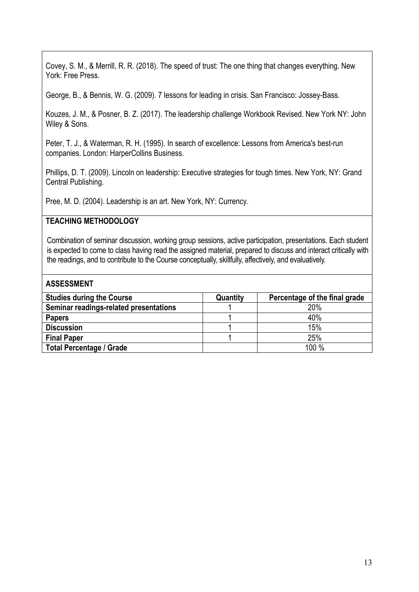Covey, S. M., & Merrill, R. R. (2018). The speed of trust: The one thing that changes everything. New York: Free Press.

George, B., & Bennis, W. G. (2009). 7 lessons for leading in crisis. San Francisco: Jossey-Bass.

Kouzes, J. M., & Posner, B. Z. (2017). The leadership challenge Workbook Revised. New York NY: John Wiley & Sons.

Peter, T. J., & Waterman, R. H. (1995). In search of excellence: Lessons from America's best-run companies. London: HarperCollins Business.

Phillips, D. T. (2009). Lincoln on leadership: Executive strategies for tough times. New York, NY: Grand Central Publishing.

Pree, M. D. (2004). Leadership is an art. New York, NY: Currency.

#### **TEACHING METHODOLOGY**

Combination of seminar discussion, working group sessions, active participation, presentations. Each student is expected to come to class having read the assigned material, prepared to discuss and interact critically with the readings, and to contribute to the Course conceptually, skillfully, affectively, and evaluatively.

| <b>ASSESSMENT</b>                      |          |                               |
|----------------------------------------|----------|-------------------------------|
| <b>Studies during the Course</b>       | Quantity | Percentage of the final grade |
| Seminar readings-related presentations |          | 20%                           |
| <b>Papers</b>                          |          | 40%                           |
| <b>Discussion</b>                      |          | 15%                           |
| <b>Final Paper</b>                     |          | 25%                           |
| <b>Total Percentage / Grade</b>        |          | 100 %                         |
|                                        |          |                               |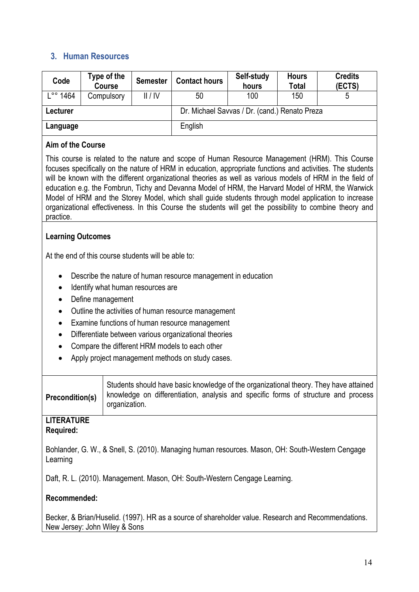### **3. Human Resources**

| Code                  | Type of the<br><b>Course</b> | <b>Semester</b> | <b>Contact hours</b> | Self-study<br>hours                           | <b>Hours</b><br><b>Total</b> | <b>Credits</b><br>(ECTS) |
|-----------------------|------------------------------|-----------------|----------------------|-----------------------------------------------|------------------------------|--------------------------|
| 1464<br>$\circ \circ$ | Compulsory                   | II/IV           | 50                   | 100                                           | 150                          | 5                        |
| Lecturer              |                              |                 |                      | Dr. Michael Savvas / Dr. (cand.) Renato Preza |                              |                          |
| Language              |                              |                 | English              |                                               |                              |                          |

#### **Aim of the Course**

This course is related to the nature and scope of Human Resource Management (HRM). This Course focuses specifically on the nature of HRM in education, appropriate functions and activities. The students will be known with the different organizational theories as well as various models of HRM in the field of education e.g. the Fombrun, Tichy and Devanna Model of HRM, the Harvard Model of HRM, the Warwick Model of HRM and the Storey Model, which shall guide students through model application to increase organizational effectiveness. In this Course the students will get the possibility to combine theory and practice.

#### **Learning Outcomes**

At the end of this course students will be able to:

- Describe the nature of human resource management in education
- Identify what human resources are
- Define management
- Outline the activities of human resource management
- Examine functions of human resource management
- Differentiate between various organizational theories
- Compare the different HRM models to each other
- Apply project management methods on study cases.

| <b>Precondition(s)</b> | Students should have basic knowledge of the organizational theory. They have attained<br>knowledge on differentiation, analysis and specific forms of structure and process<br>organization. |
|------------------------|----------------------------------------------------------------------------------------------------------------------------------------------------------------------------------------------|
|                        |                                                                                                                                                                                              |

#### **LITERATURE Required:**

Bohlander, G. W., & Snell, S. (2010). Managing human resources. Mason, OH: South-Western Cengage Learning

Daft, R. L. (2010). Management. Mason, OH: South-Western Cengage Learning.

### **Recommended:**

Becker, & Brian/Huselid. (1997). HR as a source of shareholder value. Research and Recommendations. New Jersey: John Wiley & Sons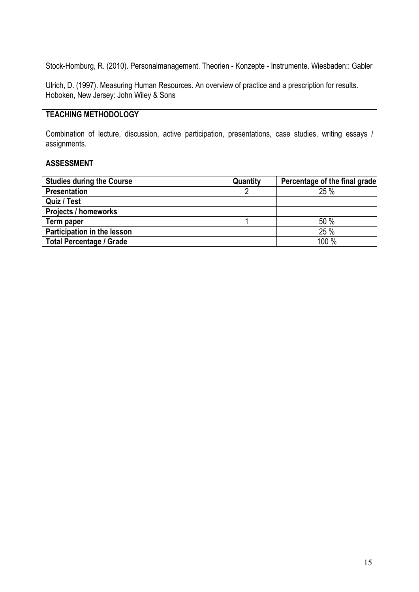Stock-Homburg, R. (2010). Personalmanagement. Theorien - Konzepte - Instrumente. Wiesbaden:: Gabler

Ulrich, D. (1997). Measuring Human Resources. An overview of practice and a prescription for results. Hoboken, New Jersey: John Wiley & Sons

### **TEACHING METHODOLOGY**

Combination of lecture, discussion, active participation, presentations, case studies, writing essays / assignments.

| <b>Studies during the Course</b> | Quantity | Percentage of the final grade |
|----------------------------------|----------|-------------------------------|
| <b>Presentation</b>              |          | 25%                           |
| Quiz / Test                      |          |                               |
| <b>Projects / homeworks</b>      |          |                               |
| Term paper                       |          | 50%                           |
| Participation in the lesson      |          | 25%                           |
| <b>Total Percentage / Grade</b>  |          | 100 %                         |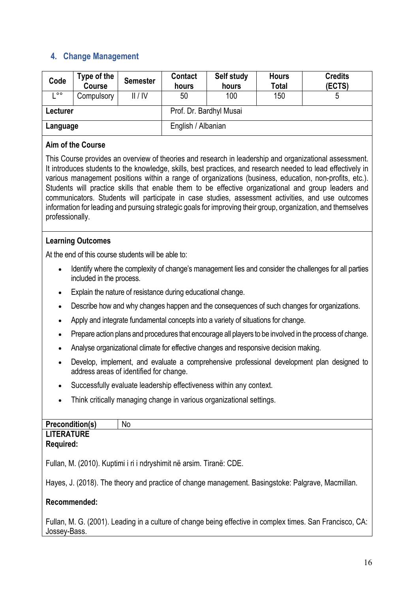### **4. Change Management**

| Code          | Type of the<br><b>Course</b> | <b>Semester</b> | <b>Contact</b><br>hours | Self study<br>hours | <b>Hours</b><br><b>Total</b> | <b>Credits</b><br>(ECTS) |
|---------------|------------------------------|-----------------|-------------------------|---------------------|------------------------------|--------------------------|
| $\circ \circ$ | Compulsory                   | II/IV           | 50                      | 100                 | 150                          |                          |
| Lecturer      |                              |                 | Prof. Dr. Bardhyl Musai |                     |                              |                          |
| Language      |                              |                 | English / Albanian      |                     |                              |                          |

#### **Aim of the Course**

This Course provides an overview of theories and research in leadership and organizational assessment. It introduces students to the knowledge, skills, best practices, and research needed to lead effectively in various management positions within a range of organizations (business, education, non-profits, etc.). Students will practice skills that enable them to be effective organizational and group leaders and communicators. Students will participate in case studies, assessment activities, and use outcomes information for leading and pursuing strategic goals for improving their group, organization, and themselves professionally.

#### **Learning Outcomes**

At the end of this course students will be able to:

- Identify where the complexity of change's management lies and consider the challenges for all parties included in the process.
- Explain the nature of resistance during educational change.
- Describe how and why changes happen and the consequences of such changes for organizations.
- Apply and integrate fundamental concepts into a variety of situations for change.
- Prepare action plans and procedures that encourage all players to be involved in the process of change.
- Analyse organizational climate for effective changes and responsive decision making.
- Develop, implement, and evaluate a comprehensive professional development plan designed to address areas of identified for change.
- Successfully evaluate leadership effectiveness within any context.
- Think critically managing change in various organizational settings.

| <b>Precondition(s)</b> | No |
|------------------------|----|
| <b>LITERATURE</b>      |    |
| <b>Required:</b>       |    |
|                        |    |

Fullan, M. (2010). Kuptimi i ri i ndryshimit në arsim. Tiranë: CDE.

Hayes, J. (2018). The theory and practice of change management. Basingstoke: Palgrave, Macmillan.

### **Recommended:**

Fullan, M. G. (2001). Leading in a culture of change being effective in complex times. San Francisco, CA: Jossey-Bass.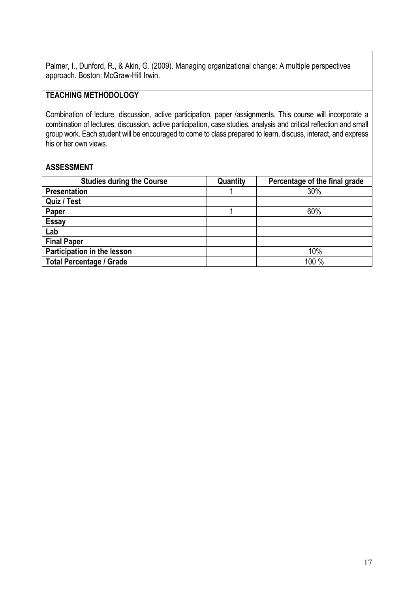Palmer, I., Dunford, R., & Akin, G. (2009). Managing organizational change: A multiple perspectives approach. Boston: McGraw-Hill Irwin.

### **TEACHING METHODOLOGY**

Combination of lecture, discussion, active participation, paper /assignments. This course will incorporate a combination of lectures, discussion, active participation, case studies, analysis and critical reflection and small group work. Each student will be encouraged to come to class prepared to learn, discuss, interact, and express his or her own views.

| <b>Studies during the Course</b> | Quantity | Percentage of the final grade |
|----------------------------------|----------|-------------------------------|
| <b>Presentation</b>              |          | 30%                           |
| Quiz / Test                      |          |                               |
| Paper                            |          | 60%                           |
| <b>Essay</b>                     |          |                               |
| Lab                              |          |                               |
| <b>Final Paper</b>               |          |                               |
| Participation in the lesson      |          | 10%                           |
| <b>Total Percentage / Grade</b>  |          | 100 %                         |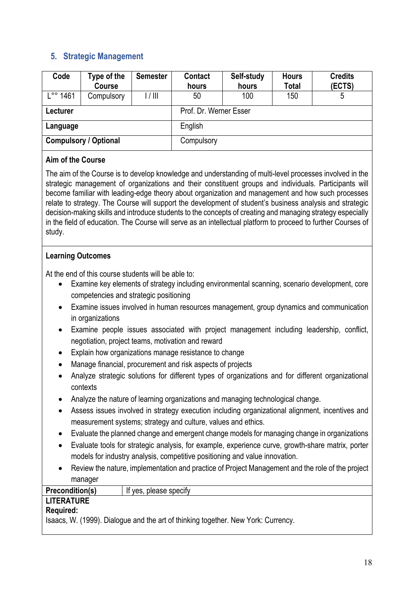### **5. Strategic Management**

| Code                         | Type of the<br>Course | <b>Semester</b> | <b>Contact</b><br>hours | Self-study<br>hours | <b>Hours</b><br><b>Total</b> | <b>Credits</b><br>(ECTS) |  |
|------------------------------|-----------------------|-----------------|-------------------------|---------------------|------------------------------|--------------------------|--|
| -°° 1461.                    | Compulsory            | 1/111           | 50                      | 100                 | 150                          | 5                        |  |
| Lecturer                     |                       |                 | Prof. Dr. Werner Esser  |                     |                              |                          |  |
| Language                     |                       |                 | English                 |                     |                              |                          |  |
| <b>Compulsory / Optional</b> |                       |                 | Compulsory              |                     |                              |                          |  |

#### **Aim of the Course**

The aim of the Course is to develop knowledge and understanding of multi-level processes involved in the strategic management of organizations and their constituent groups and individuals. Participants will become familiar with leading-edge theory about organization and management and how such processes relate to strategy. The Course will support the development of student's business analysis and strategic decision-making skills and introduce students to the concepts of creating and managing strategy especially in the field of education. The Course will serve as an intellectual platform to proceed to further Courses of study.

### **Learning Outcomes**

At the end of this course students will be able to:

- Examine key elements of strategy including environmental scanning, scenario development, core competencies and strategic positioning
- Examine issues involved in human resources management, group dynamics and communication in organizations
- Examine people issues associated with project management including leadership, conflict, negotiation, project teams, motivation and reward
- Explain how organizations manage resistance to change
- Manage financial, procurement and risk aspects of projects
- Analyze strategic solutions for different types of organizations and for different organizational contexts
- Analyze the nature of learning organizations and managing technological change.
- Assess issues involved in strategy execution including organizational alignment, incentives and measurement systems; strategy and culture, values and ethics.
- Evaluate the planned change and emergent change models for managing change in organizations
- Evaluate tools for strategic analysis, for example, experience curve, growth-share matrix, porter models for industry analysis, competitive positioning and value innovation.
- Review the nature, implementation and practice of Project Management and the role of the project manager

### **Precondition(s)** | If yes, please specify

#### **LITERATURE Required:**

Isaacs, W. (1999). Dialogue and the art of thinking together. New York: Currency.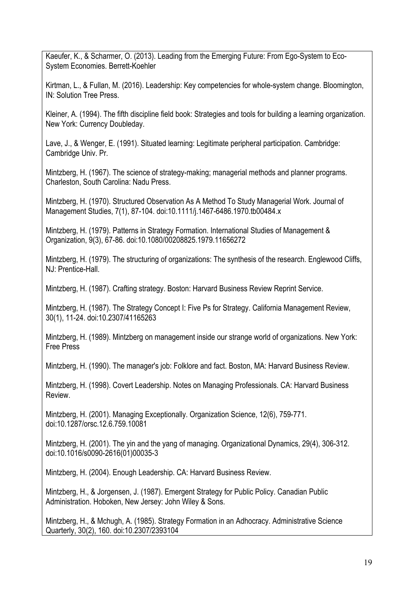Kaeufer, K., & Scharmer, O. (2013). Leading from the Emerging Future: From Ego-System to Eco-System Economies. Berrett-Koehler

Kirtman, L., & Fullan, M. (2016). Leadership: Key competencies for whole-system change. Bloomington, IN: Solution Tree Press.

Kleiner, A. (1994). The fifth discipline field book: Strategies and tools for building a learning organization. New York: Currency Doubleday.

Lave, J., & Wenger, E. (1991). Situated learning: Legitimate peripheral participation. Cambridge: Cambridge Univ. Pr.

Mintzberg, H. (1967). The science of strategy-making; managerial methods and planner programs. Charleston, South Carolina: Nadu Press.

Mintzberg, H. (1970). Structured Observation As A Method To Study Managerial Work. Journal of Management Studies, 7(1), 87-104. doi:10.1111/j.1467-6486.1970.tb00484.x

Mintzberg, H. (1979). Patterns in Strategy Formation. International Studies of Management & Organization, 9(3), 67-86. doi:10.1080/00208825.1979.11656272

Mintzberg, H. (1979). The structuring of organizations: The synthesis of the research. Englewood Cliffs, NJ: Prentice-Hall.

Mintzberg, H. (1987). Crafting strategy. Boston: Harvard Business Review Reprint Service.

Mintzberg, H. (1987). The Strategy Concept I: Five Ps for Strategy. California Management Review, 30(1), 11-24. doi:10.2307/41165263

Mintzberg, H. (1989). Mintzberg on management inside our strange world of organizations. New York: Free Press

Mintzberg, H. (1990). The manager's job: Folklore and fact. Boston, MA: Harvard Business Review.

Mintzberg, H. (1998). Covert Leadership. Notes on Managing Professionals. CA: Harvard Business Review.

Mintzberg, H. (2001). Managing Exceptionally. Organization Science, 12(6), 759-771. doi:10.1287/orsc.12.6.759.10081

Mintzberg, H. (2001). The yin and the yang of managing. Organizational Dynamics, 29(4), 306-312. doi:10.1016/s0090-2616(01)00035-3

Mintzberg, H. (2004). Enough Leadership. CA: Harvard Business Review.

Mintzberg, H., & Jorgensen, J. (1987). Emergent Strategy for Public Policy. Canadian Public Administration. Hoboken, New Jersey: John Wiley & Sons.

Mintzberg, H., & Mchugh, A. (1985). Strategy Formation in an Adhocracy. Administrative Science Quarterly, 30(2), 160. doi:10.2307/2393104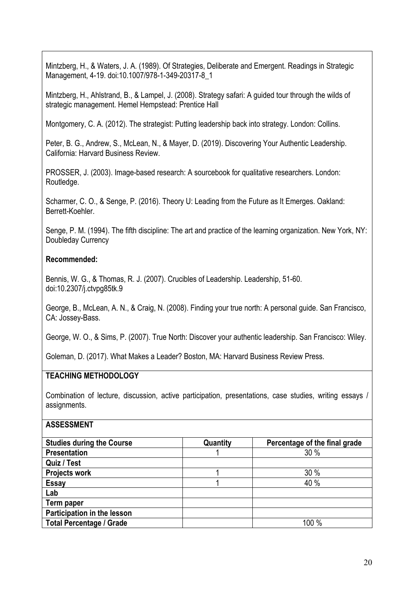Mintzberg, H., & Waters, J. A. (1989). Of Strategies, Deliberate and Emergent. Readings in Strategic Management, 4-19. doi:10.1007/978-1-349-20317-8\_1

Mintzberg, H., Ahlstrand, B., & Lampel, J. (2008). Strategy safari: A guided tour through the wilds of strategic management. Hemel Hempstead: Prentice Hall

Montgomery, C. A. (2012). The strategist: Putting leadership back into strategy. London: Collins.

Peter, B. G., Andrew, S., McLean, N., & Mayer, D. (2019). Discovering Your Authentic Leadership. California: Harvard Business Review.

PROSSER, J. (2003). Image-based research: A sourcebook for qualitative researchers. London: Routledge.

Scharmer, C. O., & Senge, P. (2016). Theory U: Leading from the Future as It Emerges. Oakland: Berrett-Koehler.

Senge, P. M. (1994). The fifth discipline: The art and practice of the learning organization. New York, NY: Doubleday Currency

#### **Recommended:**

Bennis, W. G., & Thomas, R. J. (2007). Crucibles of Leadership. Leadership, 51-60. doi:10.2307/j.ctvpg85tk.9

George, B., McLean, A. N., & Craig, N. (2008). Finding your true north: A personal guide. San Francisco, CA: Jossey-Bass.

George, W. O., & Sims, P. (2007). True North: Discover your authentic leadership. San Francisco: Wiley.

Goleman, D. (2017). What Makes a Leader? Boston, MA: Harvard Business Review Press.

### **TEACHING METHODOLOGY**

Combination of lecture, discussion, active participation, presentations, case studies, writing essays / assignments.

| <b>Studies during the Course</b> | Quantity | Percentage of the final grade |
|----------------------------------|----------|-------------------------------|
| <b>Presentation</b>              |          | 30%                           |
| Quiz / Test                      |          |                               |
| <b>Projects work</b>             |          | 30%                           |
| <b>Essay</b>                     |          | 40 %                          |
| Lab                              |          |                               |
| Term paper                       |          |                               |
| Participation in the lesson      |          |                               |
| <b>Total Percentage / Grade</b>  |          | 100 %                         |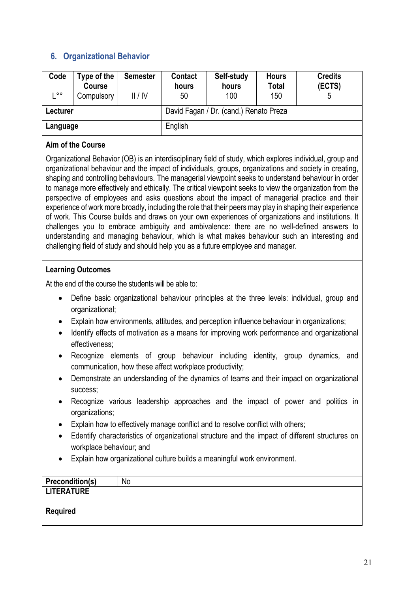### **6. Organizational Behavior**

| Code          | Type of the<br><b>Course</b> | <b>Semester</b> | <b>Contact</b><br>hours                | Self-study<br>hours | <b>Hours</b><br><b>Total</b> | <b>Credits</b><br>(ECTS) |  |
|---------------|------------------------------|-----------------|----------------------------------------|---------------------|------------------------------|--------------------------|--|
| $\circ \circ$ | Compulsory                   | II/IV           | 50                                     | 100                 | 150                          |                          |  |
| Lecturer      |                              |                 | David Fagan / Dr. (cand.) Renato Preza |                     |                              |                          |  |
| Language      |                              |                 | English                                |                     |                              |                          |  |

#### **Aim of the Course**

Organizational Behavior (OB) is an interdisciplinary field of study, which explores individual, group and organizational behaviour and the impact of individuals, groups, organizations and society in creating, shaping and controlling behaviours. The managerial viewpoint seeks to understand behaviour in order to manage more effectively and ethically. The critical viewpoint seeks to view the organization from the perspective of employees and asks questions about the impact of managerial practice and their experience of work more broadly, including the role that their peers may play in shaping their experience of work. This Course builds and draws on your own experiences of organizations and institutions. It challenges you to embrace ambiguity and ambivalence: there are no well-defined answers to understanding and managing behaviour, which is what makes behaviour such an interesting and challenging field of study and should help you as a future employee and manager.

#### **Learning Outcomes**

At the end of the course the students will be able to:

- Define basic organizational behaviour principles at the three levels: individual, group and organizational;
- Explain how environments, attitudes, and perception influence behaviour in organizations;
- Identify effects of motivation as a means for improving work performance and organizational effectiveness;
- Recognize elements of group behaviour including identity, group dynamics, and communication, how these affect workplace productivity;
- Demonstrate an understanding of the dynamics of teams and their impact on organizational success;
- Recognize various leadership approaches and the impact of power and politics in organizations;
- Explain how to effectively manage conflict and to resolve conflict with others;
- Edentify characteristics of organizational structure and the impact of different structures on workplace behaviour; and
- Explain how organizational culture builds a meaningful work environment.

| No |
|----|
|    |
|    |
|    |
|    |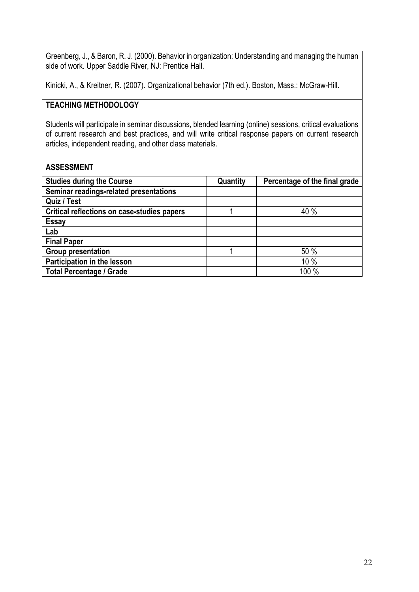Greenberg, J., & Baron, R. J. (2000). Behavior in organization: Understanding and managing the human side of work. Upper Saddle River, NJ: Prentice Hall.

Kinicki, A., & Kreitner, R. (2007). Organizational behavior (7th ed.). Boston, Mass.: McGraw-Hill.

#### **TEACHING METHODOLOGY**

Students will participate in seminar discussions, blended learning (online) sessions, critical evaluations of current research and best practices, and will write critical response papers on current research articles, independent reading, and other class materials.

| <b>Studies during the Course</b>            | Quantity | Percentage of the final grade |
|---------------------------------------------|----------|-------------------------------|
| Seminar readings-related presentations      |          |                               |
| Quiz / Test                                 |          |                               |
| Critical reflections on case-studies papers |          | 40 %                          |
| <b>Essay</b>                                |          |                               |
| Lab                                         |          |                               |
| <b>Final Paper</b>                          |          |                               |
| <b>Group presentation</b>                   |          | 50 %                          |
| Participation in the lesson                 |          | 10%                           |
| <b>Total Percentage / Grade</b>             |          | 100 %                         |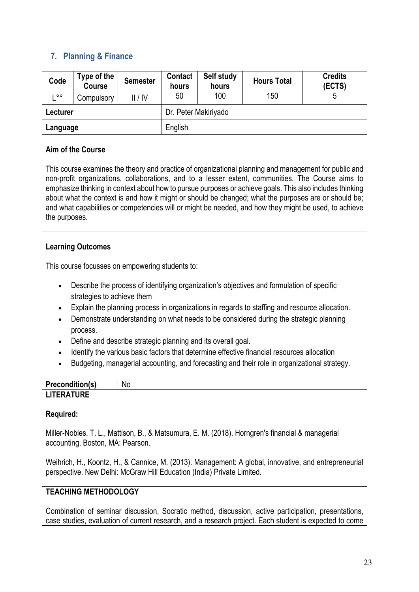### **7. Planning & Finance**

| Code          | Type of the<br><b>Course</b> | <b>Semester</b> | Contact<br>hours     | Self study<br>hours | <b>Hours Total</b> | <b>Credits</b><br>(ECTS) |
|---------------|------------------------------|-----------------|----------------------|---------------------|--------------------|--------------------------|
| $\circ \circ$ | Compulsory                   | II/IV           | 50                   | 100                 | 150                |                          |
| Lecturer      |                              |                 | Dr. Peter Makiriyado |                     |                    |                          |
| Language      |                              |                 | English              |                     |                    |                          |

#### **Aim of the Course**

This course examines the theory and practice of organizational planning and management for public and non-profit organizations, collaborations, and to a lesser extent, communities. The Course aims to emphasize thinking in context about how to pursue purposes or achieve goals. This also includes thinking about what the context is and how it might or should be changed; what the purposes are or should be; and what capabilities or competencies will or might be needed, and how they might be used, to achieve the purposes.

#### **Learning Outcomes**

This course focusses on empowering students to:

- Describe the process of identifying organization's objectives and formulation of specific strategies to achieve them
- Explain the planning process in organizations in regards to staffing and resource allocation.
- Demonstrate understanding on what needs to be considered during the strategic planning process.
- Define and describe strategic planning and its overall goal.
- Identify the various basic factors that determine effective financial resources allocation
- Budgeting, managerial accounting, and forecasting and their role in organizational strategy.

| <b>Precondition(s)</b> | N0 |
|------------------------|----|
| <b>LITERATURE</b>      |    |

#### **Required:**

Miller-Nobles, T. L., Mattison, B., & Matsumura, E. M. (2018). Horngren's financial & managerial accounting. Boston, MA: Pearson.

Weihrich, H., Koontz, H., & Cannice, M. (2013). Management: A global, innovative, and entrepreneurial perspective. New Delhi: McGraw Hill Education (India) Private Limited.

### **TEACHING METHODOLOGY**

Combination of seminar discussion, Socratic method, discussion, active participation, presentations, case studies, evaluation of current research, and a research project. Each student is expected to come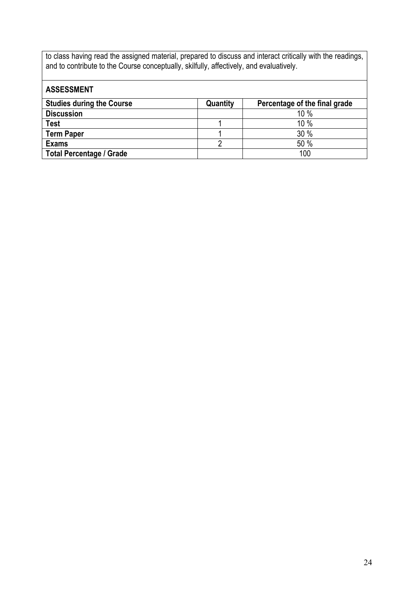to class having read the assigned material, prepared to discuss and interact critically with the readings, and to contribute to the Course conceptually, skilfully, affectively, and evaluatively.

| <b>ASSESSMENT</b>                |          |                               |
|----------------------------------|----------|-------------------------------|
| <b>Studies during the Course</b> | Quantity | Percentage of the final grade |
| <b>Discussion</b>                |          | 10 %                          |
| <b>Test</b>                      |          | 10 %                          |
| <b>Term Paper</b>                |          | 30 %                          |
| <b>Exams</b>                     |          | 50 %                          |
| <b>Total Percentage / Grade</b>  |          | 100                           |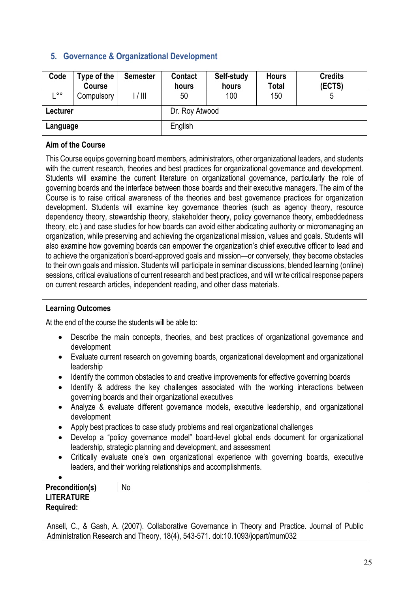### **5. Governance & Organizational Development**

| Code     | Type of the<br>Course | <b>Semester</b> | <b>Contact</b><br>hours | Self-study<br>hours | <b>Hours</b><br>Total | <b>Credits</b><br>(ECTS) |
|----------|-----------------------|-----------------|-------------------------|---------------------|-----------------------|--------------------------|
| $\circ$  | Compulsory            | 1/111           | 50                      | 100                 | 150                   | 5                        |
| Lecturer |                       |                 | Dr. Roy Atwood          |                     |                       |                          |
| Language |                       |                 | English                 |                     |                       |                          |

#### **Aim of the Course**

This Course equips governing board members, administrators, other organizational leaders, and students with the current research, theories and best practices for organizational governance and development. Students will examine the current literature on organizational governance, particularly the role of governing boards and the interface between those boards and their executive managers. The aim of the Course is to raise critical awareness of the theories and best governance practices for organization development. Students will examine key governance theories (such as agency theory, resource dependency theory, stewardship theory, stakeholder theory, policy governance theory, embeddedness theory, etc.) and case studies for how boards can avoid either abdicating authority or micromanaging an organization, while preserving and achieving the organizational mission, values and goals. Students will also examine how governing boards can empower the organization's chief executive officer to lead and to achieve the organization's board-approved goals and mission—or conversely, they become obstacles to their own goals and mission. Students will participate in seminar discussions, blended learning (online) sessions, critical evaluations of current research and best practices, and will write critical response papers on current research articles, independent reading, and other class materials.

#### **Learning Outcomes**

At the end of the course the students will be able to:

- Describe the main concepts, theories, and best practices of organizational governance and development
- Evaluate current research on governing boards, organizational development and organizational leadership
- Identify the common obstacles to and creative improvements for effective governing boards
- Identify & address the key challenges associated with the working interactions between governing boards and their organizational executives
- Analyze & evaluate different governance models, executive leadership, and organizational development
- Apply best practices to case study problems and real organizational challenges
- Develop a "policy governance model" board-level global ends document for organizational leadership, strategic planning and development, and assessment
- Critically evaluate one's own organizational experience with governing boards, executive leaders, and their working relationships and accomplishments.

| <b>Precondition(s)</b>                                                                                              | No     |
|---------------------------------------------------------------------------------------------------------------------|--------|
| <b>LITERATURE</b><br><b>Required:</b>                                                                               |        |
| and the contract of the contract of the contract of the contract of the contract of the contract of the contract of | .<br>. |

Ansell, C., & Gash, A. (2007). Collaborative Governance in Theory and Practice. Journal of Public Administration Research and Theory, 18(4), 543-571. doi:10.1093/jopart/mum032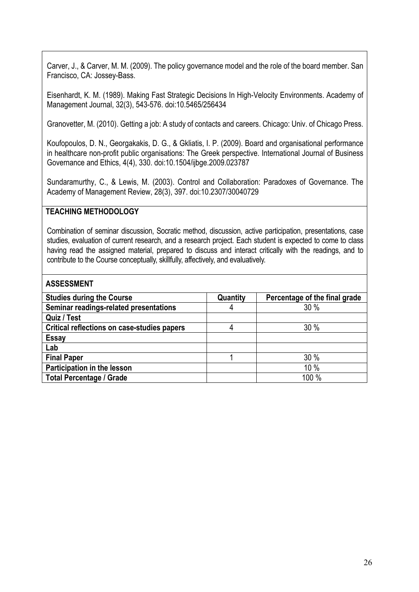Carver, J., & Carver, M. M. (2009). The policy governance model and the role of the board member. San Francisco, CA: Jossey-Bass.

Eisenhardt, K. M. (1989). Making Fast Strategic Decisions In High-Velocity Environments. Academy of Management Journal, 32(3), 543-576. doi:10.5465/256434

Granovetter, M. (2010). Getting a job: A study of contacts and careers. Chicago: Univ. of Chicago Press.

Koufopoulos, D. N., Georgakakis, D. G., & Gkliatis, I. P. (2009). Board and organisational performance in healthcare non-profit public organisations: The Greek perspective. International Journal of Business Governance and Ethics, 4(4), 330. doi:10.1504/ijbge.2009.023787

Sundaramurthy, C., & Lewis, M. (2003). Control and Collaboration: Paradoxes of Governance. The Academy of Management Review, 28(3), 397. doi:10.2307/30040729

#### **TEACHING METHODOLOGY**

Combination of seminar discussion, Socratic method, discussion, active participation, presentations, case studies, evaluation of current research, and a research project. Each student is expected to come to class having read the assigned material, prepared to discuss and interact critically with the readings, and to contribute to the Course conceptually, skillfully, affectively, and evaluatively.

| <b>Studies during the Course</b>            | Quantity | Percentage of the final grade |
|---------------------------------------------|----------|-------------------------------|
| Seminar readings-related presentations      | 4        | 30%                           |
| Quiz / Test                                 |          |                               |
| Critical reflections on case-studies papers |          | 30%                           |
| <b>Essay</b>                                |          |                               |
| Lab                                         |          |                               |
| <b>Final Paper</b>                          |          | 30 %                          |
| Participation in the lesson                 |          | 10 %                          |
| <b>Total Percentage / Grade</b>             |          | 100 %                         |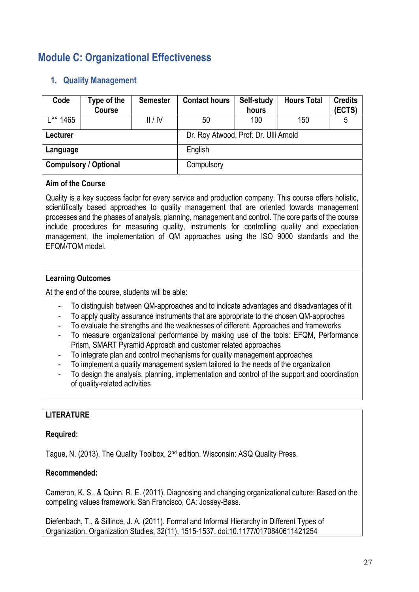### **Module C: Organizational Effectiveness**

### **1. Quality Management**

| Code                         | Type of the<br><b>Course</b> | <b>Semester</b> | <b>Contact hours</b>                  | Self-study<br>hours | <b>Hours Total</b> | <b>Credits</b><br>(ECTS) |  |
|------------------------------|------------------------------|-----------------|---------------------------------------|---------------------|--------------------|--------------------------|--|
| $\degree$ 1465               |                              | II/IV           | 50                                    | 100                 | 150                | 5                        |  |
| Lecturer                     |                              |                 | Dr. Roy Atwood, Prof. Dr. Ulli Arnold |                     |                    |                          |  |
| Language                     |                              |                 | English                               |                     |                    |                          |  |
| <b>Compulsory / Optional</b> |                              |                 | Compulsory                            |                     |                    |                          |  |

#### **Aim of the Course**

Quality is a key success factor for every service and production company. This course offers holistic, scientifically based approaches to quality management that are oriented towards management processes and the phases of analysis, planning, management and control. The core parts of the course include procedures for measuring quality, instruments for controlling quality and expectation management, the implementation of QM approaches using the ISO 9000 standards and the EFQM/TQM model.

#### **Learning Outcomes**

At the end of the course, students will be able:

- To distinguish between QM-approaches and to indicate advantages and disadvantages of it
- To apply quality assurance instruments that are appropriate to the chosen QM-approches
- To evaluate the strengths and the weaknesses of different. Approaches and frameworks
- To measure organizational performance by making use of the tools: EFQM, Performance Prism, SMART Pyramid Approach and customer related approaches
- To integrate plan and control mechanisms for quality management approaches
- To implement a quality management system tailored to the needs of the organization
- To design the analysis, planning, implementation and control of the support and coordination of quality-related activities

### **LITERATURE**

#### **Required:**

Tague, N. (2013). The Quality Toolbox, 2nd edition. Wisconsin: ASQ Quality Press.

#### **Recommended:**

Cameron, K. S., & Quinn, R. E. (2011). Diagnosing and changing organizational culture: Based on the competing values framework. San Francisco, CA: Jossey-Bass.

Diefenbach, T., & Sillince, J. A. (2011). Formal and Informal Hierarchy in Different Types of Organization. Organization Studies, 32(11), 1515-1537. doi:10.1177/0170840611421254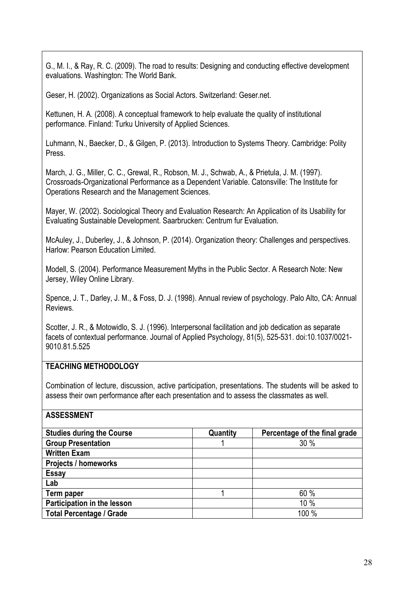G., M. I., & Ray, R. C. (2009). The road to results: Designing and conducting effective development evaluations. Washington: The World Bank.

Geser, H. (2002). Organizations as Social Actors. Switzerland: Geser.net.

Kettunen, H. A. (2008). A conceptual framework to help evaluate the quality of institutional performance. Finland: Turku University of Applied Sciences.

Luhmann, N., Baecker, D., & Gilgen, P. (2013). Introduction to Systems Theory. Cambridge: Polity Press.

March, J. G., Miller, C. C., Grewal, R., Robson, M. J., Schwab, A., & Prietula, J. M. (1997). Crossroads-Organizational Performance as a Dependent Variable. Catonsville: The Institute for Operations Research and the Management Sciences.

Mayer, W. (2002). Sociological Theory and Evaluation Research: An Application of its Usability for Evaluating Sustainable Development. Saarbrucken: Centrum fur Evaluation.

McAuley, J., Duberley, J., & Johnson, P. (2014). Organization theory: Challenges and perspectives. Harlow: Pearson Education Limited.

Modell, S. (2004). Performance Measurement Myths in the Public Sector. A Research Note: New Jersey, Wiley Online Library.

Spence, J. T., Darley, J. M., & Foss, D. J. (1998). Annual review of psychology. Palo Alto, CA: Annual Reviews.

Scotter, J. R., & Motowidlo, S. J. (1996). Interpersonal facilitation and job dedication as separate facets of contextual performance. Journal of Applied Psychology, 81(5), 525-531. doi:10.1037/0021- 9010.81.5.525

### **TEACHING METHODOLOGY**

Combination of lecture, discussion, active participation, presentations. The students will be asked to assess their own performance after each presentation and to assess the classmates as well.

| <b>Studies during the Course</b> | Quantity | Percentage of the final grade |
|----------------------------------|----------|-------------------------------|
| <b>Group Presentation</b>        |          | 30%                           |
| <b>Written Exam</b>              |          |                               |
| <b>Projects / homeworks</b>      |          |                               |
| <b>Essay</b>                     |          |                               |
| Lab                              |          |                               |
| Term paper                       |          | 60%                           |
| Participation in the lesson      |          | 10 %                          |
| <b>Total Percentage / Grade</b>  |          | 100 %                         |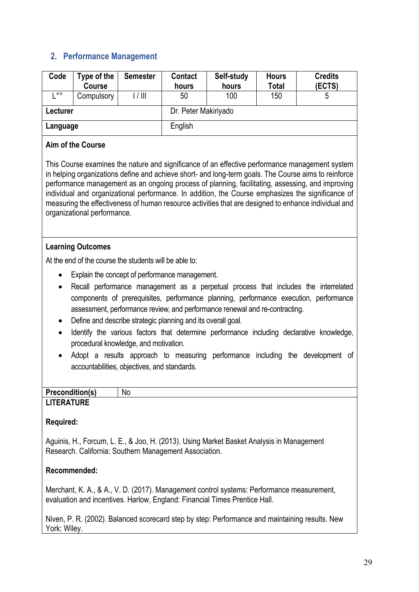### **2. Performance Management**

| Code          | Type of the<br>Course | <b>Semester</b> | <b>Contact</b><br>hours | Self-study<br>hours | <b>Hours</b><br>Total | <b>Credits</b><br>(ECTS) |  |
|---------------|-----------------------|-----------------|-------------------------|---------------------|-----------------------|--------------------------|--|
| $\circ \circ$ | Compulsory            | 1/111           | 50                      | 100                 | 150                   | 5                        |  |
| Lecturer      |                       |                 | Dr. Peter Makiriyado    |                     |                       |                          |  |
| Language      |                       |                 | English                 |                     |                       |                          |  |
|               |                       |                 |                         |                     |                       |                          |  |

#### **Aim of the Course**

This Course examines the nature and significance of an effective performance management system in helping organizations define and achieve short- and long-term goals. The Course aims to reinforce performance management as an ongoing process of planning, facilitating, assessing, and improving individual and organizational performance. In addition, the Course emphasizes the significance of measuring the effectiveness of human resource activities that are designed to enhance individual and organizational performance.

#### **Learning Outcomes**

At the end of the course the students will be able to:

- Explain the concept of performance management.
- Recall performance management as a perpetual process that includes the interrelated components of prerequisites, performance planning, performance execution, performance assessment, performance review, and performance renewal and re-contracting.
- Define and describe strategic planning and its overall goal.
- Identify the various factors that determine performance including declarative knowledge, procedural knowledge, and motivation.
- Adopt a results approach to measuring performance including the development of accountabilities, objectives, and standards.

| Precondition(s)   | Νo |
|-------------------|----|
| <b>LITERATURE</b> |    |

#### **Required:**

Aguinis, H., Forcum, L. E., & Joo, H. (2013). Using Market Basket Analysis in Management Research. California: Southern Management Association.

### **Recommended:**

Merchant, K. A., & A., V. D. (2017). Management control systems: Performance measurement, evaluation and incentives. Harlow, England: Financial Times Prentice Hall.

Niven, P. R. (2002). Balanced scorecard step by step: Performance and maintaining results. New York: Wiley.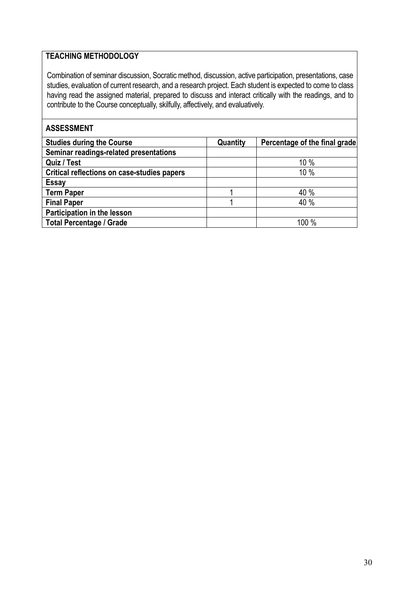### **TEACHING METHODOLOGY**

Combination of seminar discussion, Socratic method, discussion, active participation, presentations, case studies, evaluation of current research, and a research project. Each student is expected to come to class having read the assigned material, prepared to discuss and interact critically with the readings, and to contribute to the Course conceptually, skilfully, affectively, and evaluatively.

| <b>Studies during the Course</b>            | Quantity | Percentage of the final grade |
|---------------------------------------------|----------|-------------------------------|
| Seminar readings-related presentations      |          |                               |
| Quiz / Test                                 |          | 10%                           |
| Critical reflections on case-studies papers |          | 10%                           |
| <b>Essay</b>                                |          |                               |
| <b>Term Paper</b>                           |          | 40 %                          |
| <b>Final Paper</b>                          |          | 40 %                          |
| Participation in the lesson                 |          |                               |
| <b>Total Percentage / Grade</b>             |          | 100 %                         |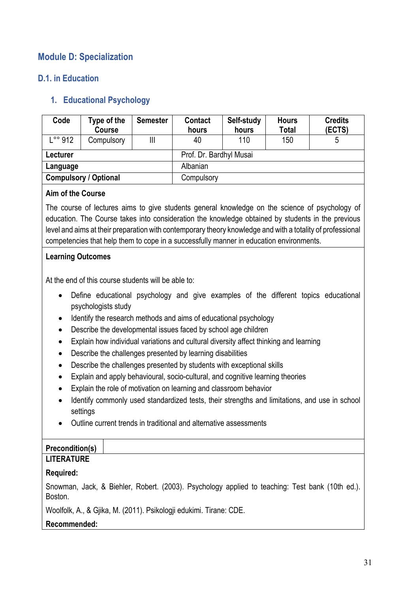### **Module D: Specialization**

### **D.1. in Education**

### **1. Educational Psychology**

| Code     | Type of the<br>Course        | <b>Semester</b>         | <b>Contact</b><br>hours | Self-study<br>hours | <b>Hours</b><br><b>Total</b> | <b>Credits</b><br>(ECTS) |
|----------|------------------------------|-------------------------|-------------------------|---------------------|------------------------------|--------------------------|
| L°° 912  | Compulsory                   | Ш                       | 40                      | 110                 | 150                          |                          |
| Lecturer |                              | Prof. Dr. Bardhyl Musai |                         |                     |                              |                          |
| Language |                              |                         | Albanian                |                     |                              |                          |
|          | <b>Compulsory / Optional</b> |                         | Compulsory              |                     |                              |                          |

#### **Aim of the Course**

The course of lectures aims to give students general knowledge on the science of psychology of education. The Course takes into consideration the knowledge obtained by students in the previous level and aims at their preparation with contemporary theory knowledge and with a totality of professional competencies that help them to cope in a successfully manner in education environments.

#### **Learning Outcomes**

At the end of this course students will be able to:

- Define educational psychology and give examples of the different topics educational psychologists study
- Identify the research methods and aims of educational psychology
- Describe the developmental issues faced by school age children
- Explain how individual variations and cultural diversity affect thinking and learning
- Describe the challenges presented by learning disabilities
- Describe the challenges presented by students with exceptional skills
- Explain and apply behavioural, socio-cultural, and cognitive learning theories
- Explain the role of motivation on learning and classroom behavior
- Identify commonly used standardized tests, their strengths and limitations, and use in school settings
- Outline current trends in traditional and alternative assessments

### **Precondition(s)**

### **LITERATURE**

### **Required:**

Snowman, Jack, & Biehler, Robert. (2003). Psychology applied to teaching: Test bank (10th ed.). Boston.

Woolfolk, A., & Gjika, M. (2011). Psikologji edukimi. Tirane: CDE.

### **Recommended:**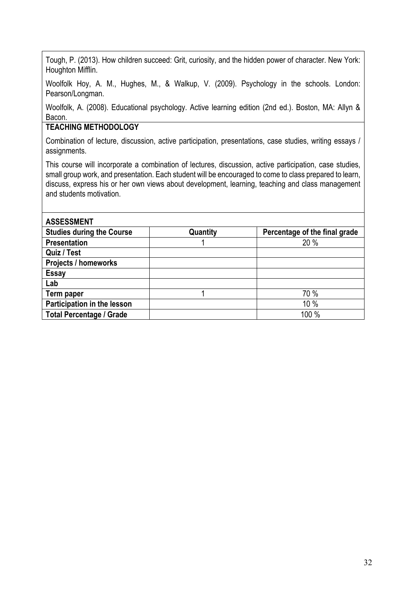Tough, P. (2013). How children succeed: Grit, curiosity, and the hidden power of character. New York: Houghton Mifflin.

Woolfolk Hoy, A. M., Hughes, M., & Walkup, V. (2009). Psychology in the schools. London: Pearson/Longman.

Woolfolk, A. (2008). Educational psychology. Active learning edition (2nd ed.). Boston, MA: Allyn & Bacon.

#### **TEACHING METHODOLOGY**

Combination of lecture, discussion, active participation, presentations, case studies, writing essays / assignments.

This course will incorporate a combination of lectures, discussion, active participation, case studies, small group work, and presentation. Each student will be encouraged to come to class prepared to learn, discuss, express his or her own views about development, learning, teaching and class management and students motivation.

| <b>ASSESSMENT</b>                |          |                               |
|----------------------------------|----------|-------------------------------|
| <b>Studies during the Course</b> | Quantity | Percentage of the final grade |
| <b>Presentation</b>              |          | 20 %                          |
| Quiz / Test                      |          |                               |
| <b>Projects / homeworks</b>      |          |                               |
| <b>Essay</b>                     |          |                               |
| Lab                              |          |                               |
| Term paper                       |          | 70 %                          |
| Participation in the lesson      |          | 10 %                          |
| <b>Total Percentage / Grade</b>  |          | 100 %                         |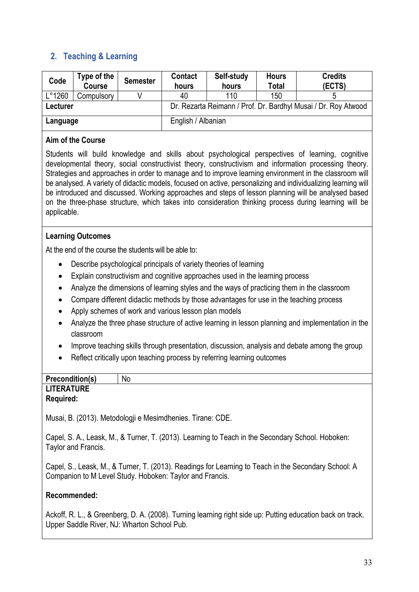### **2. Teaching & Learning**

| Code            | Type of the<br><b>Course</b>   | <b>Semester</b> | <b>Contact</b><br>hours                                        | Self-study<br>hours | <b>Hours</b><br><b>Total</b> | <b>Credits</b><br>(ECTS) |  |
|-----------------|--------------------------------|-----------------|----------------------------------------------------------------|---------------------|------------------------------|--------------------------|--|
| $L^{\circ}1260$ | Compulsory                     |                 | 40                                                             | 110                 | 150                          |                          |  |
| Lecturer        |                                |                 | Dr. Rezarta Reimann / Prof. Dr. Bardhyl Musai / Dr. Roy Atwood |                     |                              |                          |  |
|                 | English / Albanian<br>Language |                 |                                                                |                     |                              |                          |  |

#### **Aim of the Course**

Students will build knowledge and skills about psychological perspectives of learning, cognitive developmental theory, social constructivist theory, constructivism and information processing theory. Strategies and approaches in order to manage and to improve learning environment in the classroom will be analysed. A variety of didactic models, focused on active, personalizing and individualizing learning will be introduced and discussed. Working approaches and steps of lesson planning will be analysed based on the three-phase structure, which takes into consideration thinking process during learning will be applicable.

### **Learning Outcomes**

At the end of the course the students will be able to:

- Describe psychological principals of variety theories of learning
- Explain constructivism and cognitive approaches used in the learning process
- Analyze the dimensions of learning styles and the ways of practicing them in the classroom
- Compare different didactic methods by those advantages for use in the teaching process
- Apply schemes of work and various lesson plan models
- Analyze the three phase structure of active learning in lesson planning and implementation in the classroom
- Improve teaching skills through presentation, discussion, analysis and debate among the group
- Reflect critically upon teaching process by referring learning outcomes

#### **Precondition(s)** No **LITERATURE Required:**

Musai, B. (2013). Metodologji e Mesimdhenies. Tirane: CDE.

Capel, S. A., Leask, M., & Turner, T. (2013). Learning to Teach in the Secondary School. Hoboken: Taylor and Francis.

Capel, S., Leask, M., & Turner, T. (2013). Readings for Learning to Teach in the Secondary School: A Companion to M Level Study. Hoboken: Taylor and Francis.

#### **Recommended:**

Ackoff, R. L., & Greenberg, D. A. (2008). Turning learning right side up: Putting education back on track. Upper Saddle River, NJ: Wharton School Pub.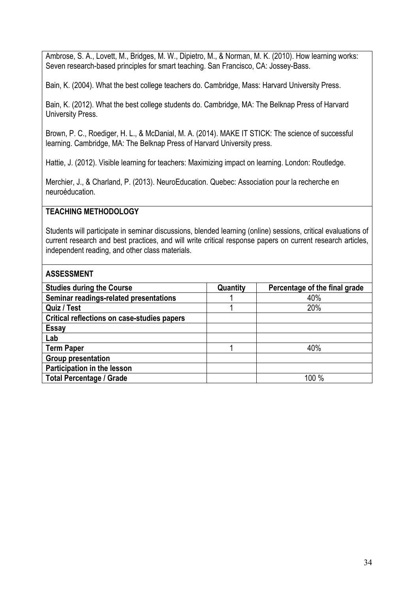Ambrose, S. A., Lovett, M., Bridges, M. W., Dipietro, M., & Norman, M. K. (2010). How learning works: Seven research-based principles for smart teaching. San Francisco, CA: Jossey-Bass.

Bain, K. (2004). What the best college teachers do. Cambridge, Mass: Harvard University Press.

Bain, K. (2012). What the best college students do. Cambridge, MA: The Belknap Press of Harvard University Press.

Brown, P. C., Roediger, H. L., & McDanial, M. A. (2014). MAKE IT STICK: The science of successful learning. Cambridge, MA: The Belknap Press of Harvard University press.

Hattie, J. (2012). Visible learning for teachers: Maximizing impact on learning. London: Routledge.

Merchier, J., & Charland, P. (2013). NeuroEducation. Quebec: Association pour la recherche en neuroéducation.

#### **TEACHING METHODOLOGY**

Students will participate in seminar discussions, blended learning (online) sessions, critical evaluations of current research and best practices, and will write critical response papers on current research articles, independent reading, and other class materials.

| <b>Studies during the Course</b>            | Quantity | Percentage of the final grade |
|---------------------------------------------|----------|-------------------------------|
| Seminar readings-related presentations      |          | 40%                           |
| Quiz / Test                                 |          | 20%                           |
| Critical reflections on case-studies papers |          |                               |
| <b>Essay</b>                                |          |                               |
| Lab                                         |          |                               |
| <b>Term Paper</b>                           |          | 40%                           |
| <b>Group presentation</b>                   |          |                               |
| Participation in the lesson                 |          |                               |
| <b>Total Percentage / Grade</b>             |          | 100 %                         |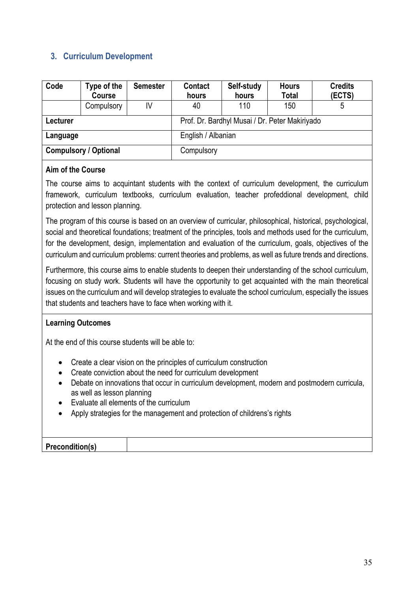### **3. Curriculum Development**

| Code                         | Type of the<br>Course | <b>Semester</b> | Contact<br>hours                               | Self-study<br>hours | <b>Hours</b><br><b>Total</b> | <b>Credits</b><br>(ECTS) |
|------------------------------|-----------------------|-----------------|------------------------------------------------|---------------------|------------------------------|--------------------------|
|                              | Compulsory            | IV              | 40                                             | 110                 | 150                          | 5                        |
| Lecturer                     |                       |                 | Prof. Dr. Bardhyl Musai / Dr. Peter Makiriyado |                     |                              |                          |
| Language                     |                       |                 | English / Albanian                             |                     |                              |                          |
| <b>Compulsory / Optional</b> |                       |                 | Compulsory                                     |                     |                              |                          |

#### **Aim of the Course**

The course aims to acquintant students with the context of curriculum development, the curriculum framework, curriculum textbooks, curriculum evaluation, teacher profeddional development, child protection and lesson planning.

The program of this course is based on an overview of curricular, philosophical, historical, psychological, social and theoretical foundations; treatment of the principles, tools and methods used for the curriculum, for the development, design, implementation and evaluation of the curriculum, goals, objectives of the curriculum and curriculum problems: current theories and problems, as well as future trends and directions.

Furthermore, this course aims to enable students to deepen their understanding of the school curriculum, focusing on study work. Students will have the opportunity to get acquainted with the main theoretical issues on the curriculum and will develop strategies to evaluate the school curriculum, especially the issues that students and teachers have to face when working with it.

### **Learning Outcomes**

At the end of this course students will be able to:

- Create a clear vision on the principles of curriculum construction
- Create conviction about the need for curriculum development
- Debate on innovations that occur in curriculum development, modern and postmodern curricula, as well as lesson planning
- Evaluate all elements of the curriculum
- Apply strategies for the management and protection of childrens's rights

| <b>Precondition(s)</b> |  |
|------------------------|--|
|                        |  |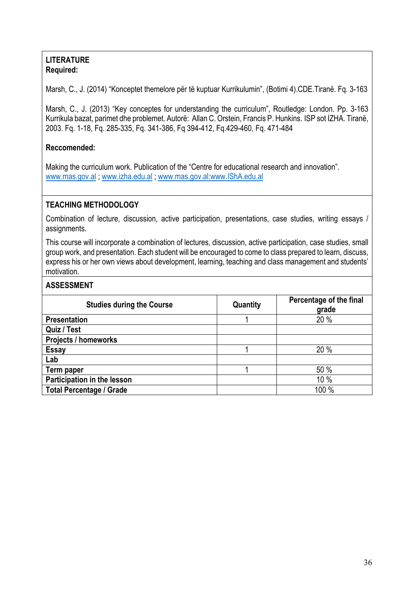#### **LITERATURE Required:**

Marsh, C., J. (2014) "Konceptet themelore për të kuptuar Kurrikulumin", (Botimi 4).CDE.Tiranë. Fq. 3-163

Marsh, C., J. (2013) "Key conceptes for understanding the curriculum", Routledge: London. Pp. 3-163 Kurrikula bazat, parimet dhe problemet. Autorë: Allan C. Orstein, Francis P. Hunkins. ISP sot IZHA. Tiranë, 2003. Fq. 1-18, Fq. 285-335, Fq. 341-386, Fq 394-412, Fq.429-460, Fq. 471-484

### **Reccomended:**

Making the curriculum work. Publication of the "Centre for educational research and innovation". www.mas.gov.al ; www.izha.edu.al ; www.mas.gov.al:www.IShA.edu.al

### **TEACHING METHODOLOGY**

Combination of lecture, discussion, active participation, presentations, case studies, writing essays / assignments.

This course will incorporate a combination of lectures, discussion, active participation, case studies, small group work, and presentation. Each student will be encouraged to come to class prepared to learn, discuss, express his or her own views about development, learning, teaching and class management and students' motivation.

| <b>Studies during the Course</b> | Quantity | Percentage of the final<br>grade |  |  |
|----------------------------------|----------|----------------------------------|--|--|
| <b>Presentation</b>              |          | 20 %                             |  |  |
| Quiz / Test                      |          |                                  |  |  |
| <b>Projects / homeworks</b>      |          |                                  |  |  |
| <b>Essay</b>                     |          | 20 %                             |  |  |
| Lab                              |          |                                  |  |  |
| Term paper                       |          | 50 %                             |  |  |
| Participation in the lesson      |          | 10%                              |  |  |
| <b>Total Percentage / Grade</b>  |          | 100 %                            |  |  |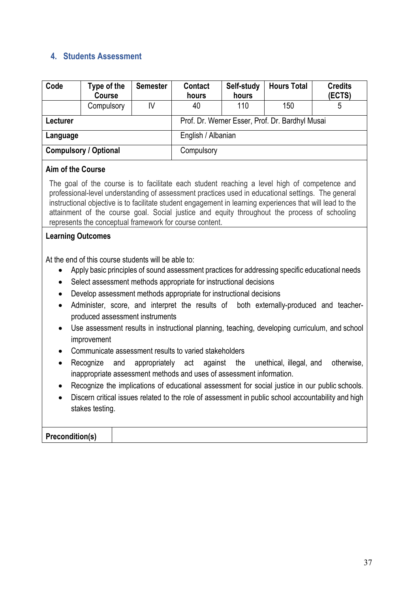### **4. Students Assessment**

| Code                         | Type of the<br><b>Course</b> | <b>Semester</b>                                 | <b>Contact</b><br>hours | Self-study<br>hours | <b>Hours Total</b> | <b>Credits</b><br>(ECTS) |
|------------------------------|------------------------------|-------------------------------------------------|-------------------------|---------------------|--------------------|--------------------------|
|                              | Compulsory                   | IV                                              | 40                      | 110                 | 150                | 5                        |
| <b>Lecturer</b>              |                              | Prof. Dr. Werner Esser, Prof. Dr. Bardhyl Musai |                         |                     |                    |                          |
| Language                     |                              |                                                 | English / Albanian      |                     |                    |                          |
| <b>Compulsory / Optional</b> |                              |                                                 | Compulsory              |                     |                    |                          |

#### **Aim of the Course**

The goal of the course is to facilitate each student reaching a level high of competence and professional-level understanding of assessment practices used in educational settings. The general instructional objective is to facilitate student engagement in learning experiences that will lead to the attainment of the course goal. Social justice and equity throughout the process of schooling represents the conceptual framework for course content.

#### **Learning Outcomes**

At the end of this course students will be able to:

- Apply basic principles of sound assessment practices for addressing specific educational needs
- Select assessment methods appropriate for instructional decisions
- Develop assessment methods appropriate for instructional decisions
- Administer, score, and interpret the results of both externally-produced and teacherproduced assessment instruments
- Use assessment results in instructional planning, teaching, developing curriculum, and school improvement
- Communicate assessment results to varied stakeholders
- Recognize and appropriately act against the unethical, illegal, and otherwise, inappropriate assessment methods and uses of assessment information.
- Recognize the implications of educational assessment for social justice in our public schools.
- Discern critical issues related to the role of assessment in public school accountability and high stakes testing.

### **Precondition(s)**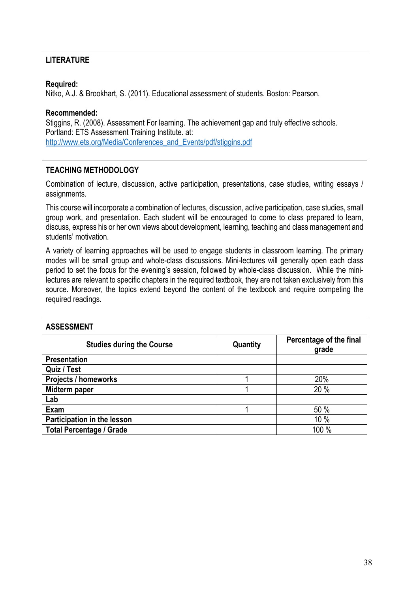### **LITERATURE**

#### **Required:**

Nitko, A.J. & Brookhart, S. (2011). Educational assessment of students. Boston: Pearson.

#### **Recommended:**

Stiggins, R. (2008). Assessment For learning. The achievement gap and truly effective schools. Portland: ETS Assessment Training Institute. at: http://www.ets.org/Media/Conferences\_and\_Events/pdf/stiggins.pdf

#### **TEACHING METHODOLOGY**

Combination of lecture, discussion, active participation, presentations, case studies, writing essays / assignments.

This course will incorporate a combination of lectures, discussion, active participation, case studies, small group work, and presentation. Each student will be encouraged to come to class prepared to learn, discuss, express his or her own views about development, learning, teaching and class management and students' motivation.

A variety of learning approaches will be used to engage students in classroom learning. The primary modes will be small group and whole-class discussions. Mini-lectures will generally open each class period to set the focus for the evening's session, followed by whole-class discussion. While the minilectures are relevant to specific chapters in the required textbook, they are not taken exclusively from this source. Moreover, the topics extend beyond the content of the textbook and require competing the required readings.

| <b>Studies during the Course</b> | Quantity | Percentage of the final<br>grade |
|----------------------------------|----------|----------------------------------|
| <b>Presentation</b>              |          |                                  |
| Quiz / Test                      |          |                                  |
| <b>Projects / homeworks</b>      |          | 20%                              |
| Midterm paper                    |          | 20 %                             |
| Lab                              |          |                                  |
| Exam                             |          | 50 %                             |
| Participation in the lesson      |          | 10 %                             |
| <b>Total Percentage / Grade</b>  |          | 100 %                            |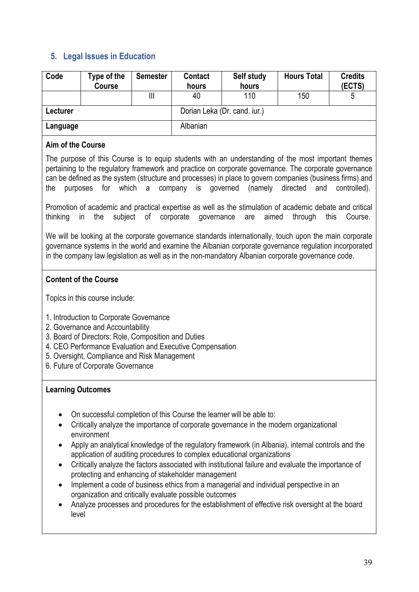### **5. Legal Issues in Education**

| Code     | Type of the<br><b>Course</b> | <b>Semester</b> | Contact<br>hours | Self study<br>hours | <b>Hours Total</b> | <b>Credits</b><br>(ECTS) |
|----------|------------------------------|-----------------|------------------|---------------------|--------------------|--------------------------|
|          |                              | Ш               | 40               | 110                 | 150                |                          |
| Lecturer | Dorian Leka (Dr. cand. iur.) |                 |                  |                     |                    |                          |
| Language |                              |                 | Albanian         |                     |                    |                          |

#### **Aim of the Course**

The purpose of this Course is to equip students with an understanding of the most important themes pertaining to the regulatory framework and practice on corporate governance. The corporate governance can be defined as the system (structure and processes) in place to govern companies (business firms) and the purposes for which a company is governed (namely directed and controlled).

Promotion of academic and practical expertise as well as the stimulation of academic debate and critical thinking in the subject of corporate governance are aimed through this Course.

We will be looking at the corporate governance standards internationally, touch upon the main corporate governance systems in the world and examine the Albanian corporate governance regulation incorporated in the company law legislation as well as in the non-mandatory Albanian corporate governance code.

### **Content of the Course**

Topics in this course include:

- 1. Introduction to Corporate Governance
- 2. Governance and Accountability
- 3. Board of Directors: Role, Composition and Duties
- 4. CEO Performance Evaluation and Executive Compensation
- 5. Oversight, Compliance and Risk Management
- 6. Future of Corporate Governance

### **Learning Outcomes**

- On successful completion of this Course the learner will be able to:
- Critically analyze the importance of corporate governance in the modern organizational environment
- Apply an analytical knowledge of the regulatory framework (in Albania), internal controls and the application of auditing procedures to complex educational organizations
- Critically analyze the factors associated with institutional failure and evaluate the importance of protecting and enhancing of stakeholder management
- Implement a code of business ethics from a managerial and individual perspective in an organization and critically evaluate possible outcomes
- Analyze processes and procedures for the establishment of effective risk oversight at the board level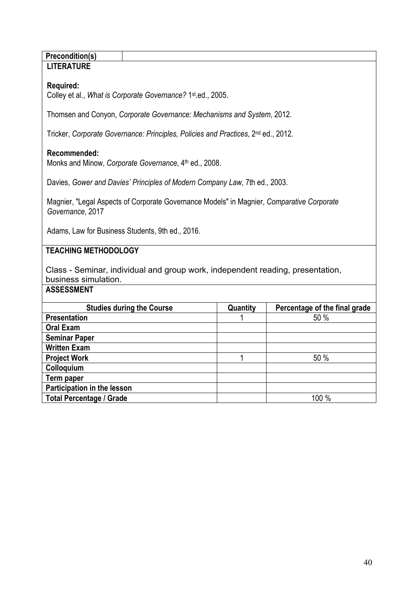#### **Precondition(s) LITERATURE**

### **Required:**

Colley et al., *What is Corporate Governance?* 1st.ed., 2005.

Thomsen and Conyon, *Corporate Governance: Mechanisms and System*, 2012.

Tricker, *Corporate Governance: Principles, Policies and Practices*, 2nd ed., 2012.

### **Recommended:**

Monks and Minow, *Corporate Governance*, 4<sup>th</sup> ed., 2008.

Davies, *Gower and Davies' Principles of Modern Company Law*, 7th ed., 2003.

Magnier, "Legal Aspects of Corporate Governance Models" in Magnier, *Comparative Corporate Governance*, 2017

Adams, Law for Business Students, 9th ed., 2016.

### **TEACHING METHODOLOGY**

Class - Seminar, individual and group work, independent reading, presentation, business simulation.

| <b>Studies during the Course</b> | Quantity | Percentage of the final grade |  |
|----------------------------------|----------|-------------------------------|--|
| <b>Presentation</b>              |          | 50 %                          |  |
| <b>Oral Exam</b>                 |          |                               |  |
| <b>Seminar Paper</b>             |          |                               |  |
| <b>Written Exam</b>              |          |                               |  |
| <b>Project Work</b>              |          | 50 %                          |  |
| Colloquium                       |          |                               |  |
| Term paper                       |          |                               |  |
| Participation in the lesson      |          |                               |  |
| <b>Total Percentage / Grade</b>  |          | 100 %                         |  |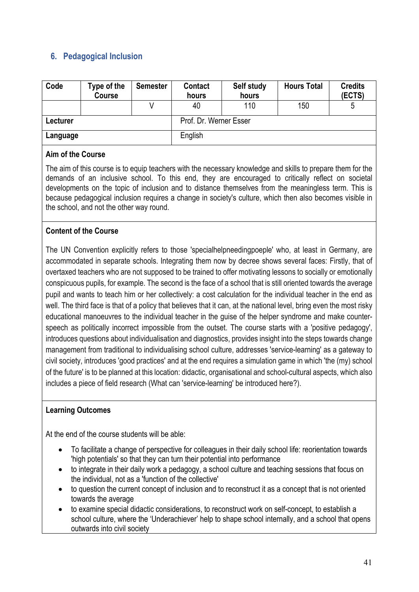### **6. Pedagogical Inclusion**

| Code     | Type of the<br><b>Course</b> | <b>Semester</b> | <b>Contact</b><br>hours | Self study<br>hours | <b>Hours Total</b> | <b>Credits</b><br>(ECTS) |
|----------|------------------------------|-----------------|-------------------------|---------------------|--------------------|--------------------------|
|          |                              |                 | 40                      | 110                 | 150                |                          |
| Lecturer |                              |                 | Prof. Dr. Werner Esser  |                     |                    |                          |
| Language |                              |                 | English                 |                     |                    |                          |

#### **Aim of the Course**

The aim of this course is to equip teachers with the necessary knowledge and skills to prepare them for the demands of an inclusive school. To this end, they are encouraged to critically reflect on societal developments on the topic of inclusion and to distance themselves from the meaningless term. This is because pedagogical inclusion requires a change in society's culture, which then also becomes visible in the school, and not the other way round.

### **Content of the Course**

The UN Convention explicitly refers to those 'specialhelpneedingpoeple' who, at least in Germany, are accommodated in separate schools. Integrating them now by decree shows several faces: Firstly, that of overtaxed teachers who are not supposed to be trained to offer motivating lessons to socially or emotionally conspicuous pupils, for example. The second is the face of a school that is still oriented towards the average pupil and wants to teach him or her collectively: a cost calculation for the individual teacher in the end as well. The third face is that of a policy that believes that it can, at the national level, bring even the most risky educational manoeuvres to the individual teacher in the guise of the helper syndrome and make counterspeech as politically incorrect impossible from the outset. The course starts with a 'positive pedagogy', introduces questions about individualisation and diagnostics, provides insight into the steps towards change management from traditional to individualising school culture, addresses 'service-learning' as a gateway to civil society, introduces 'good practices' and at the end requires a simulation game in which 'the (my) school of the future' is to be planned at this location: didactic, organisational and school-cultural aspects, which also includes a piece of field research (What can 'service-learning' be introduced here?).

#### **Learning Outcomes**

At the end of the course students will be able:

- To facilitate a change of perspective for colleagues in their daily school life: reorientation towards 'high potentials' so that they can turn their potential into performance
- to integrate in their daily work a pedagogy, a school culture and teaching sessions that focus on the individual, not as a 'function of the collective'
- to question the current concept of inclusion and to reconstruct it as a concept that is not oriented towards the average
- to examine special didactic considerations, to reconstruct work on self-concept, to establish a school culture, where the 'Underachiever' help to shape school internally, and a school that opens outwards into civil society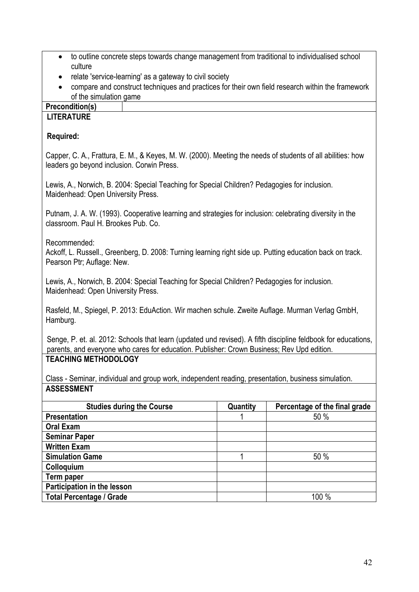- to outline concrete steps towards change management from traditional to individualised school culture
- relate 'service-learning' as a gateway to civil society
- compare and construct techniques and practices for their own field research within the framework of the simulation game

#### **Precondition(s) LITERATURE**

#### **Required:**

Capper, C. A., Frattura, E. M., & Keyes, M. W. (2000). Meeting the needs of students of all abilities: how leaders go beyond inclusion. Corwin Press.

Lewis, A., Norwich, B. 2004: Special Teaching for Special Children? Pedagogies for inclusion. Maidenhead: Open University Press.

Putnam, J. A. W. (1993). Cooperative learning and strategies for inclusion: celebrating diversity in the classroom. Paul H. Brookes Pub. Co.

#### Recommended:

Ackoff, L. Russell., Greenberg, D. 2008: Turning learning right side up. Putting education back on track. Pearson Ptr; Auflage: New.

Lewis, A., Norwich, B. 2004: Special Teaching for Special Children? Pedagogies for inclusion. Maidenhead: Open University Press.

Rasfeld, M., Spiegel, P. 2013: EduAction. Wir machen schule. Zweite Auflage. Murman Verlag GmbH, Hamburg.

Senge, P. et. al. 2012: Schools that learn (updated und revised). A fifth discipline feldbook for educations, parents, and everyone who cares for education. Publisher: Crown Business; Rev Upd edition. **TEACHING METHODOLOGY**

Class - Seminar, individual and group work, independent reading, presentation, business simulation. **ASSESSMENT**

| <b>Studies during the Course</b> | Quantity | Percentage of the final grade |
|----------------------------------|----------|-------------------------------|
| <b>Presentation</b>              |          | 50 %                          |
| <b>Oral Exam</b>                 |          |                               |
| <b>Seminar Paper</b>             |          |                               |
| <b>Written Exam</b>              |          |                               |
| <b>Simulation Game</b>           |          | 50 %                          |
| Colloquium                       |          |                               |
| Term paper                       |          |                               |
| Participation in the lesson      |          |                               |
| <b>Total Percentage / Grade</b>  |          | 100 %                         |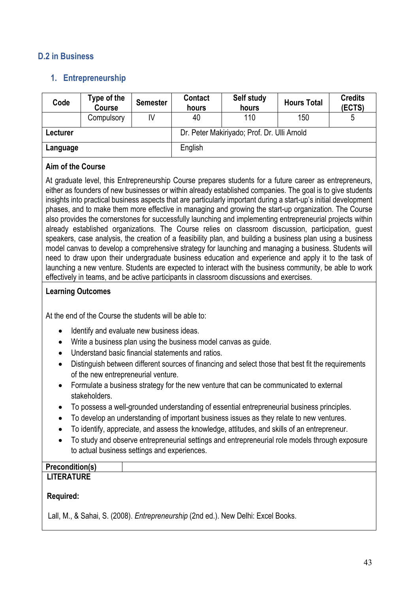### **D.2 in Business**

### **1. Entrepreneurship**

| Code                                                    | Type of the<br><b>Course</b> | <b>Semester</b> | <b>Contact</b><br>hours | Self study<br>hours | <b>Hours Total</b> | <b>Credits</b><br>(ECTS) |
|---------------------------------------------------------|------------------------------|-----------------|-------------------------|---------------------|--------------------|--------------------------|
|                                                         | Compulsory                   | IV              | 40                      | 110                 | 150                | 5                        |
| Dr. Peter Makiriyado; Prof. Dr. Ulli Arnold<br>Lecturer |                              |                 |                         |                     |                    |                          |
| Language                                                |                              |                 | English                 |                     |                    |                          |

#### **Aim of the Course**

At graduate level, this Entrepreneurship Course prepares students for a future career as entrepreneurs, either as founders of new businesses or within already established companies. The goal is to give students insights into practical business aspects that are particularly important during a start-up's initial development phases, and to make them more effective in managing and growing the start-up organization. The Course also provides the cornerstones for successfully launching and implementing entrepreneurial projects within already established organizations. The Course relies on classroom discussion, participation, guest speakers, case analysis, the creation of a feasibility plan, and building a business plan using a business model canvas to develop a comprehensive strategy for launching and managing a business. Students will need to draw upon their undergraduate business education and experience and apply it to the task of launching a new venture. Students are expected to interact with the business community, be able to work effectively in teams, and be active participants in classroom discussions and exercises.

#### **Learning Outcomes**

At the end of the Course the students will be able to:

- Identify and evaluate new business ideas.
- Write a business plan using the business model canvas as guide.
- Understand basic financial statements and ratios.
- Distinguish between different sources of financing and select those that best fit the requirements of the new entrepreneurial venture.
- Formulate a business strategy for the new venture that can be communicated to external stakeholders.
- To possess a well-grounded understanding of essential entrepreneurial business principles.
- To develop an understanding of important business issues as they relate to new ventures.
- To identify, appreciate, and assess the knowledge, attitudes, and skills of an entrepreneur.
- To study and observe entrepreneurial settings and entrepreneurial role models through exposure to actual business settings and experiences.

### **Precondition(s)**

### **LITERATURE**

#### **Required:**

Lall, M., & Sahai, S. (2008). *Entrepreneurship* (2nd ed.). New Delhi: Excel Books.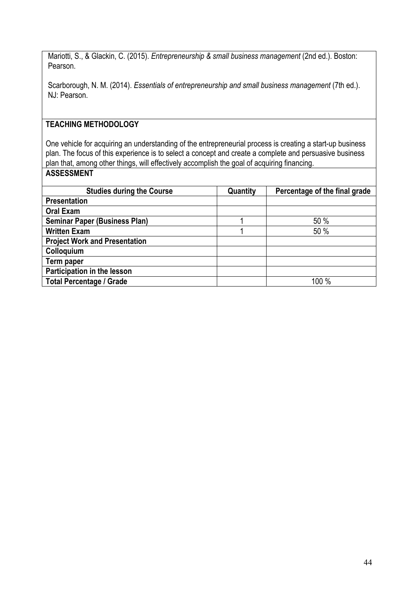Mariotti, S., & Glackin, C. (2015). *Entrepreneurship & small business management* (2nd ed.). Boston: Pearson.

Scarborough, N. M. (2014). *Essentials of entrepreneurship and small business management* (7th ed.). NJ: Pearson.

### **TEACHING METHODOLOGY**

One vehicle for acquiring an understanding of the entrepreneurial process is creating a start-up business plan. The focus of this experience is to select a concept and create a complete and persuasive business plan that, among other things, will effectively accomplish the goal of acquiring financing. **ASSESSMENT**

| <b>Studies during the Course</b>     | Quantity | Percentage of the final grade |
|--------------------------------------|----------|-------------------------------|
| <b>Presentation</b>                  |          |                               |
| <b>Oral Exam</b>                     |          |                               |
| <b>Seminar Paper (Business Plan)</b> |          | 50 %                          |
| <b>Written Exam</b>                  |          | 50 %                          |
| <b>Project Work and Presentation</b> |          |                               |
| Colloquium                           |          |                               |
| Term paper                           |          |                               |
| Participation in the lesson          |          |                               |
| <b>Total Percentage / Grade</b>      |          | 100 %                         |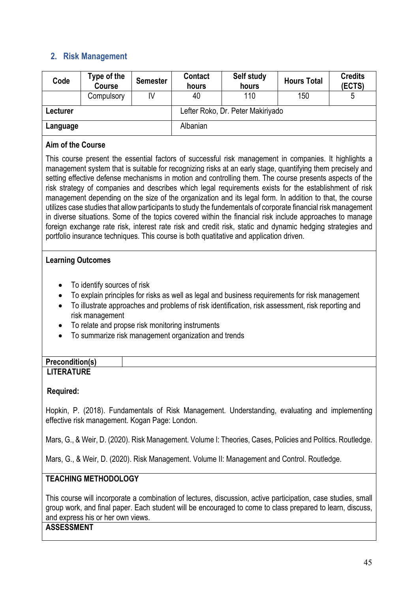### **2. Risk Management**

| Code                                                                                                                                     | Type of the<br><b>Course</b>                                                                                                                               | <b>Semester</b> | <b>Contact</b><br>hours | Self study<br>hours                                                                                                                                                                                                                                                                                                                                                                                                                                                                                                                                                                                                                                                                                                                                                                                                                                                                                                                                                                                                                                                                      | <b>Hours Total</b> | <b>Credits</b><br>(ECTS) |
|------------------------------------------------------------------------------------------------------------------------------------------|------------------------------------------------------------------------------------------------------------------------------------------------------------|-----------------|-------------------------|------------------------------------------------------------------------------------------------------------------------------------------------------------------------------------------------------------------------------------------------------------------------------------------------------------------------------------------------------------------------------------------------------------------------------------------------------------------------------------------------------------------------------------------------------------------------------------------------------------------------------------------------------------------------------------------------------------------------------------------------------------------------------------------------------------------------------------------------------------------------------------------------------------------------------------------------------------------------------------------------------------------------------------------------------------------------------------------|--------------------|--------------------------|
|                                                                                                                                          | Compulsory                                                                                                                                                 | IV              | 40                      | 110                                                                                                                                                                                                                                                                                                                                                                                                                                                                                                                                                                                                                                                                                                                                                                                                                                                                                                                                                                                                                                                                                      | 150                | 5                        |
| Lecturer                                                                                                                                 |                                                                                                                                                            |                 |                         | Lefter Roko, Dr. Peter Makiriyado                                                                                                                                                                                                                                                                                                                                                                                                                                                                                                                                                                                                                                                                                                                                                                                                                                                                                                                                                                                                                                                        |                    |                          |
| Albanian<br>Language                                                                                                                     |                                                                                                                                                            |                 |                         |                                                                                                                                                                                                                                                                                                                                                                                                                                                                                                                                                                                                                                                                                                                                                                                                                                                                                                                                                                                                                                                                                          |                    |                          |
| Aim of the Course                                                                                                                        |                                                                                                                                                            |                 |                         |                                                                                                                                                                                                                                                                                                                                                                                                                                                                                                                                                                                                                                                                                                                                                                                                                                                                                                                                                                                                                                                                                          |                    |                          |
| <b>Learning Outcomes</b><br>$\bullet$<br>$\bullet$<br>$\bullet$<br>$\bullet$<br>$\bullet$<br><b>Precondition(s)</b><br><b>LITERATURE</b> | To identify sources of risk<br>risk management<br>To relate and propse risk monitoring instruments<br>To summarize risk management organization and trends |                 |                         | management system that is suitable for recognizing risks at an early stage, quantifying them precisely and<br>setting effective defense mechanisms in motion and controlling them. The course presents aspects of the<br>risk strategy of companies and describes which legal requirements exists for the establishment of risk<br>management depending on the size of the organization and its legal form. In addition to that, the course<br>utilizes case studies that allow participants to study the fundementals of corporate financial risk management<br>in diverse situations. Some of the topics covered within the financial risk include approaches to manage<br>foreign exchange rate risk, interest rate risk and credit risk, static and dynamic hedging strategies and<br>portfolio insurance techniques. This course is both quatitative and application driven.<br>To explain principles for risks as well as legal and business requirements for risk management<br>To illustrate approaches and problems of risk identification, risk assessment, risk reporting and |                    |                          |

**Required:**

Hopkin, P. (2018). Fundamentals of Risk Management. Understanding, evaluating and implementing effective risk management. Kogan Page: London.

Mars, G., & Weir, D. (2020). Risk Management. Volume I: Theories, Cases, Policies and Politics. Routledge.

Mars, G., & Weir, D. (2020). Risk Management. Volume II: Management and Control. Routledge.

### **TEACHING METHODOLOGY**

This course will incorporate a combination of lectures, discussion, active participation, case studies, small group work, and final paper. Each student will be encouraged to come to class prepared to learn, discuss, and express his or her own views.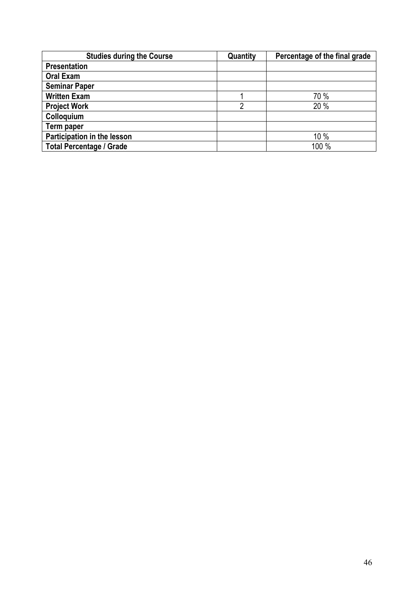| <b>Studies during the Course</b> | Quantity | Percentage of the final grade |
|----------------------------------|----------|-------------------------------|
| <b>Presentation</b>              |          |                               |
| <b>Oral Exam</b>                 |          |                               |
| <b>Seminar Paper</b>             |          |                               |
| <b>Written Exam</b>              |          | 70 %                          |
| <b>Project Work</b>              | っ        | 20 %                          |
| Colloquium                       |          |                               |
| Term paper                       |          |                               |
| Participation in the lesson      |          | 10%                           |
| <b>Total Percentage / Grade</b>  |          | 100 %                         |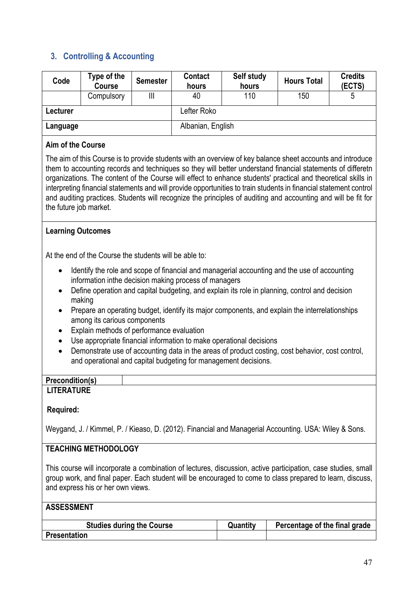### **3. Controlling & Accounting**

| Code     | Type of the<br><b>Course</b> | <b>Semester</b> | <b>Contact</b><br>hours | Self study<br>hours | <b>Hours Total</b> | <b>Credits</b><br>(ECTS) |
|----------|------------------------------|-----------------|-------------------------|---------------------|--------------------|--------------------------|
|          | Compulsory                   | Ш               | 40                      | 110                 | 150                | 5                        |
| Lecturer |                              |                 | Lefter Roko             |                     |                    |                          |
| Language |                              |                 | Albanian, English       |                     |                    |                          |

#### **Aim of the Course**

The aim of this Course is to provide students with an overview of key balance sheet accounts and introduce them to accounting records and techniques so they will better understand financial statements of differetn organizations. The content of the Course will effect to enhance students' practical and theoretical skills in interpreting financial statements and will provide opportunities to train students in financial statement control and auditing practices. Students will recognize the principles of auditing and accounting and will be fit for the future job market.

#### **Learning Outcomes**

At the end of the Course the students will be able to:

- Identify the role and scope of financial and managerial accounting and the use of accounting information inthe decision making process of managers
- Define operation and capital budgeting, and explain its role in planning, control and decision making
- Prepare an operating budget, identify its major components, and explain the interrelationships among its carious components
- Explain methods of performance evaluation
- Use appropriate financial information to make operational decisions
- Demonstrate use of accounting data in the areas of product costing, cost behavior, cost control, and operational and capital budgeting for management decisions.

#### **Precondition(s) LITERATURE**

#### **Required:**

Weygand, J. / Kimmel, P. / Kieaso, D. (2012). Financial and Managerial Accounting. USA: Wiley & Sons.

#### **TEACHING METHODOLOGY**

This course will incorporate a combination of lectures, discussion, active participation, case studies, small group work, and final paper. Each student will be encouraged to come to class prepared to learn, discuss, and express his or her own views.

| <b>Studies during the Course</b> | Quantity | Percentage of the final grade |
|----------------------------------|----------|-------------------------------|
| <b>Presentation</b>              |          |                               |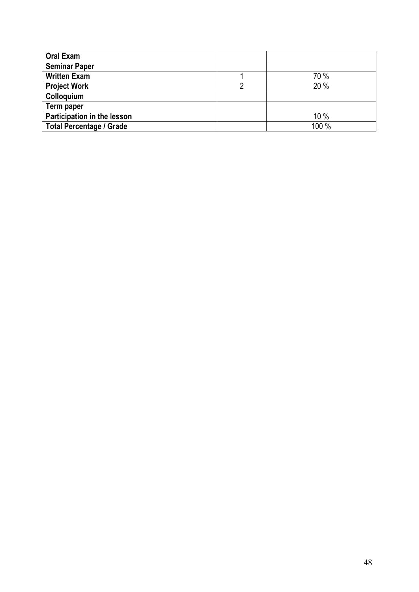| <b>Oral Exam</b>                |       |
|---------------------------------|-------|
| <b>Seminar Paper</b>            |       |
| <b>Written Exam</b>             | 70 %  |
| <b>Project Work</b>             | 20 %  |
| Colloquium                      |       |
| Term paper                      |       |
| Participation in the lesson     | 10 %  |
| <b>Total Percentage / Grade</b> | 100 % |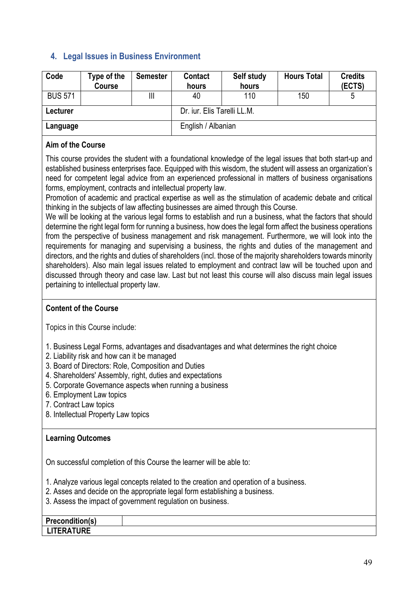### **4. Legal Issues in Business Environment**

| Code           | Type of the<br><b>Course</b> | <b>Semester</b> | <b>Contact</b><br>hours     | Self study<br>hours | <b>Hours Total</b> | <b>Credits</b><br>(ECTS) |
|----------------|------------------------------|-----------------|-----------------------------|---------------------|--------------------|--------------------------|
| <b>BUS 571</b> |                              | Ш               | 40                          | 110                 | 150                |                          |
| Lecturer       |                              |                 | Dr. jur. Elis Tarelli LL.M. |                     |                    |                          |
| Language       |                              |                 | English / Albanian          |                     |                    |                          |

#### **Aim of the Course**

This course provides the student with a foundational knowledge of the legal issues that both start-up and established business enterprises face. Equipped with this wisdom, the student will assess an organization's need for competent legal advice from an experienced professional in matters of business organisations forms, employment, contracts and intellectual property law.

Promotion of academic and practical expertise as well as the stimulation of academic debate and critical thinking in the subjects of law affecting businesses are aimed through this Course.

We will be looking at the various legal forms to establish and run a business, what the factors that should determine the right legal form for running a business, how does the legal form affect the business operations from the perspective of business management and risk management. Furthermore, we will look into the requirements for managing and supervising a business, the rights and duties of the management and directors, and the rights and duties of shareholders (incl. those of the majority shareholders towards minority shareholders). Also main legal issues related to employment and contract law will be touched upon and discussed through theory and case law. Last but not least this course will also discuss main legal issues pertaining to intellectual property law.

#### **Content of the Course**

Topics in this Course include:

- 1. Business Legal Forms, advantages and disadvantages and what determines the right choice
- 2. Liability risk and how can it be managed
- 3. Board of Directors: Role, Composition and Duties
- 4. Shareholders' Assembly, right, duties and expectations
- 5. Corporate Governance aspects when running a business
- 6. Employment Law topics
- 7. Contract Law topics
- 8. Intellectual Property Law topics

#### **Learning Outcomes**

On successful completion of this Course the learner will be able to:

1. Analyze various legal concepts related to the creation and operation of a business.

2. Asses and decide on the appropriate legal form establishing a business.

3. Assess the impact of government regulation on business.

| .<br>Precon<br><b>LIGCOUNIN</b> |  |
|---------------------------------|--|
| ITFDITIDF<br><b>UIL</b><br>. .  |  |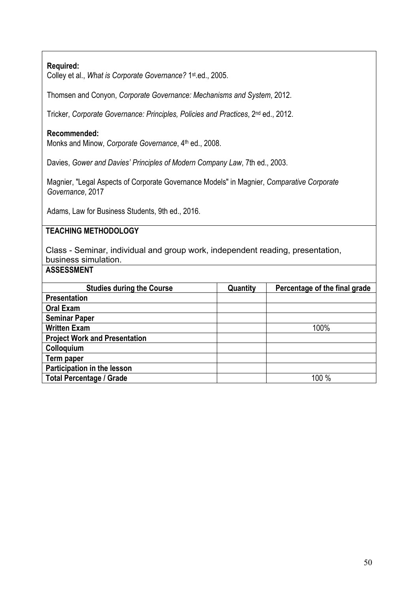#### **Required:**

Colley et al., *What is Corporate Governance?* 1st.ed., 2005.

Thomsen and Conyon, *Corporate Governance: Mechanisms and System*, 2012.

Tricker, *Corporate Governance: Principles, Policies and Practices*, 2nd ed., 2012.

#### **Recommended:**

Monks and Minow, *Corporate Governance*, 4<sup>th</sup> ed., 2008.

Davies, *Gower and Davies' Principles of Modern Company Law*, 7th ed., 2003.

Magnier, "Legal Aspects of Corporate Governance Models" in Magnier, *Comparative Corporate Governance*, 2017

Adams, Law for Business Students, 9th ed., 2016.

#### **TEACHING METHODOLOGY**

Class - Seminar, individual and group work, independent reading, presentation, business simulation.

| <b>Studies during the Course</b>     | Quantity | Percentage of the final grade |
|--------------------------------------|----------|-------------------------------|
| <b>Presentation</b>                  |          |                               |
| <b>Oral Exam</b>                     |          |                               |
| <b>Seminar Paper</b>                 |          |                               |
| <b>Written Exam</b>                  |          | 100%                          |
| <b>Project Work and Presentation</b> |          |                               |
| Colloquium                           |          |                               |
| Term paper                           |          |                               |
| Participation in the lesson          |          |                               |
| <b>Total Percentage / Grade</b>      |          | 100 %                         |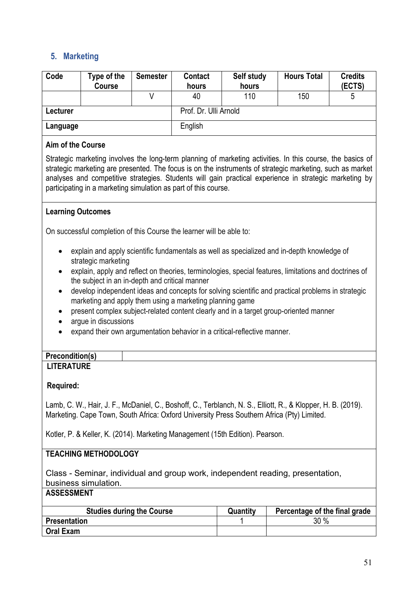### **5. Marketing**

| Code     | Type of the<br><b>Course</b> | <b>Semester</b> | <b>Contact</b><br>hours | Self study<br>hours | <b>Hours Total</b> | <b>Credits</b><br>(ECTS) |
|----------|------------------------------|-----------------|-------------------------|---------------------|--------------------|--------------------------|
|          |                              |                 | 40                      | 110                 | 150                | 5                        |
| Lecturer |                              |                 | Prof. Dr. Ulli Arnold   |                     |                    |                          |
| Language |                              |                 | English                 |                     |                    |                          |

#### **Aim of the Course**

Strategic marketing involves the long-term planning of marketing activities. In this course, the basics of strategic marketing are presented. The focus is on the instruments of strategic marketing, such as market analyses and competitive strategies. Students will gain practical experience in strategic marketing by participating in a marketing simulation as part of this course.

#### **Learning Outcomes**

On successful completion of this Course the learner will be able to:

- explain and apply scientific fundamentals as well as specialized and in-depth knowledge of strategic marketing
- explain, apply and reflect on theories, terminologies, special features, limitations and doctrines of the subject in an in-depth and critical manner
- develop independent ideas and concepts for solving scientific and practical problems in strategic marketing and apply them using a marketing planning game
- present complex subject-related content clearly and in a target group-oriented manner
- argue in discussions
- expand their own argumentation behavior in a critical-reflective manner.

| <b>Precondition(s)</b> |  |
|------------------------|--|
| <b>LITERATURE</b>      |  |

#### **Required:**

Lamb, C. W., Hair, J. F., McDaniel, C., Boshoff, C., Terblanch, N. S., Elliott, R., & Klopper, H. B. (2019). Marketing. Cape Town, South Africa: Oxford University Press Southern Africa (Pty) Limited.

Kotler, P. & Keller, K. (2014). Marketing Management (15th Edition). Pearson.

#### **TEACHING METHODOLOGY**

Class - Seminar, individual and group work, independent reading, presentation, business simulation.

| <b>Studies during the Course</b> | Quantity | Percentage of the final grade |
|----------------------------------|----------|-------------------------------|
| <b>Presentation</b>              |          | 30%                           |
| <b>Oral Exam</b>                 |          |                               |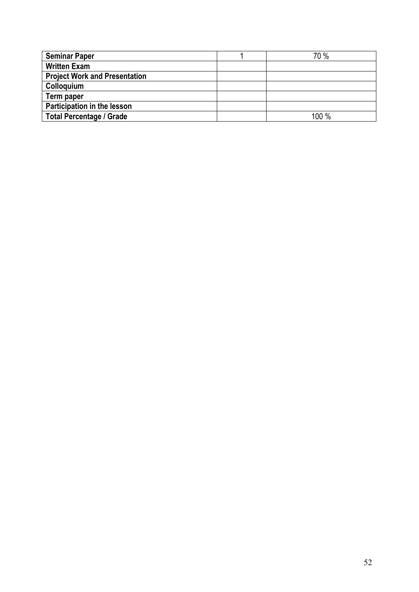| <b>Seminar Paper</b>                 | 70 %  |
|--------------------------------------|-------|
| <b>Written Exam</b>                  |       |
| <b>Project Work and Presentation</b> |       |
| Colloquium                           |       |
| Term paper                           |       |
| Participation in the lesson          |       |
| <b>Total Percentage / Grade</b>      | 100 % |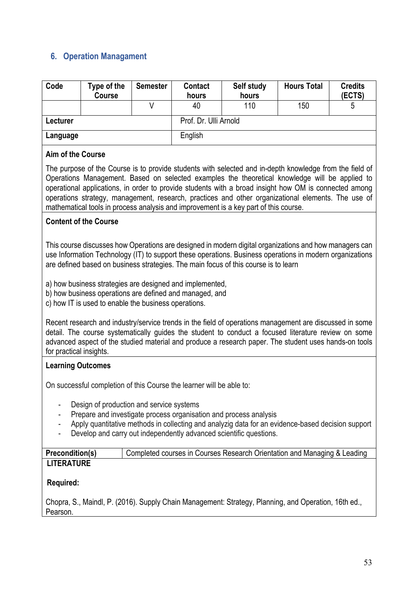### **6. Operation Managament**

| Code     | Type of the<br><b>Course</b> | <b>Semester</b> | Contact<br>hours      | Self study<br>hours | <b>Hours Total</b> | <b>Credits</b><br>(ECTS) |
|----------|------------------------------|-----------------|-----------------------|---------------------|--------------------|--------------------------|
|          |                              |                 | 40                    | 110                 | 150                | ხ                        |
| Lecturer |                              |                 | Prof. Dr. Ulli Arnold |                     |                    |                          |
| Language |                              |                 | English               |                     |                    |                          |

#### **Aim of the Course**

The purpose of the Course is to provide students with selected and in-depth knowledge from the field of Operations Management. Based on selected examples the theoretical knowledge will be applied to operational applications, in order to provide students with a broad insight how OM is connected among operations strategy, management, research, practices and other organizational elements. The use of mathematical tools in process analysis and improvement is a key part of this course.

#### **Content of the Course**

This course discusses how Operations are designed in modern digital organizations and how managers can use Information Technology (IT) to support these operations. Business operations in modern organizations are defined based on business strategies. The main focus of this course is to learn

a) how business strategies are designed and implemented,

b) how business operations are defined and managed, and

c) how IT is used to enable the business operations.

Recent research and industry/service trends in the field of operations management are discussed in some detail. The course systematically guides the student to conduct a focused literature review on some advanced aspect of the studied material and produce a research paper. The student uses hands-on tools for practical insights.

### **Learning Outcomes**

On successful completion of this Course the learner will be able to:

- Design of production and service systems
- Prepare and investigate process organisation and process analysis
- Apply quantitative methods in collecting and analyzig data for an evidence-based decision support
- Develop and carry out independently advanced scientific questions.

| <b>Precondition(s)</b> | Completed courses in Courses Research Orientation and Managing & Leading |
|------------------------|--------------------------------------------------------------------------|
| <b>LITERATURE</b>      |                                                                          |

### **Required:**

Chopra, S., Maindl, P. (2016). Supply Chain Management: Strategy, Planning, and Operation, 16th ed., Pearson.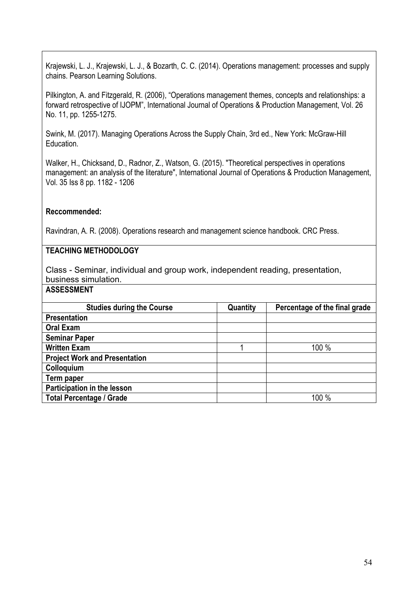Krajewski, L. J., Krajewski, L. J., & Bozarth, C. C. (2014). Operations management: processes and supply chains. Pearson Learning Solutions.

Pilkington, A. and Fitzgerald, R. (2006), "Operations management themes, concepts and relationships: a forward retrospective of IJOPM", International Journal of Operations & Production Management, Vol. 26 No. 11, pp. 1255-1275.

Swink, M. (2017). Managing Operations Across the Supply Chain, 3rd ed., New York: McGraw-Hill Education.

Walker, H., Chicksand, D., Radnor, Z., Watson, G. (2015). "Theoretical perspectives in operations management: an analysis of the literature", International Journal of Operations & Production Management, Vol. 35 Iss 8 pp. 1182 - 1206

#### **Reccommended:**

Ravindran, A. R. (2008). Operations research and management science handbook. CRC Press.

### **TEACHING METHODOLOGY**

Class - Seminar, individual and group work, independent reading, presentation, business simulation.

| <b>Studies during the Course</b>     | Quantity | Percentage of the final grade |
|--------------------------------------|----------|-------------------------------|
| <b>Presentation</b>                  |          |                               |
| <b>Oral Exam</b>                     |          |                               |
| <b>Seminar Paper</b>                 |          |                               |
| <b>Written Exam</b>                  |          | 100 %                         |
| <b>Project Work and Presentation</b> |          |                               |
| Colloquium                           |          |                               |
| Term paper                           |          |                               |
| Participation in the lesson          |          |                               |
| <b>Total Percentage / Grade</b>      |          | 100 %                         |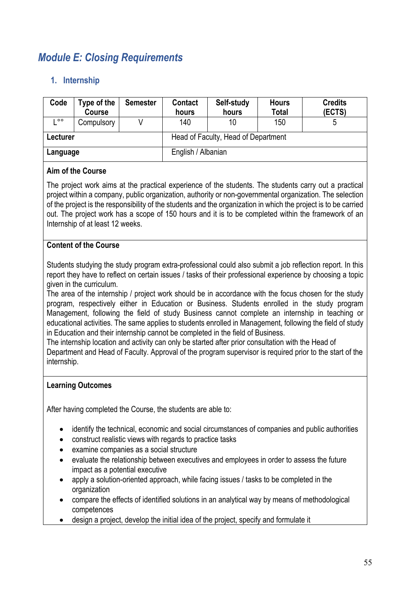## *Module E: Closing Requirements*

### **1. Internship**

| Code     | Type of the<br>Course | <b>Semester</b> | <b>Contact</b><br>hours | Self-study<br>hours                 | <b>Hours</b><br><b>Total</b> | <b>Credits</b><br>(ECTS) |
|----------|-----------------------|-----------------|-------------------------|-------------------------------------|------------------------------|--------------------------|
| $\circ$  | Compulsory            |                 | 140                     | 10                                  | 150                          |                          |
| Lecturer |                       |                 |                         | Head of Faculty, Head of Department |                              |                          |
| Language |                       |                 | English / Albanian      |                                     |                              |                          |

#### **Aim of the Course**

The project work aims at the practical experience of the students. The students carry out a practical project within a company, public organization, authority or non-governmental organization. The selection of the project is the responsibility of the students and the organization in which the project is to be carried out. The project work has a scope of 150 hours and it is to be completed within the framework of an Internship of at least 12 weeks.

#### **Content of the Course**

Students studying the study program extra-professional could also submit a job reflection report. In this report they have to reflect on certain issues / tasks of their professional experience by choosing a topic given in the curriculum.

The area of the internship / project work should be in accordance with the focus chosen for the study program, respectively either in Education or Business. Students enrolled in the study program Management, following the field of study Business cannot complete an internship in teaching or educational activities. The same applies to students enrolled in Management, following the field of study in Education and their internship cannot be completed in the field of Business.

The internship location and activity can only be started after prior consultation with the Head of Department and Head of Faculty. Approval of the program supervisor is required prior to the start of the internship.

#### **Learning Outcomes**

After having completed the Course, the students are able to:

- identify the technical, economic and social circumstances of companies and public authorities
- construct realistic views with regards to practice tasks
- examine companies as a social structure
- evaluate the relationship between executives and employees in order to assess the future impact as a potential executive
- apply a solution-oriented approach, while facing issues / tasks to be completed in the organization
- compare the effects of identified solutions in an analytical way by means of methodological competences
- design a project, develop the initial idea of the project, specify and formulate it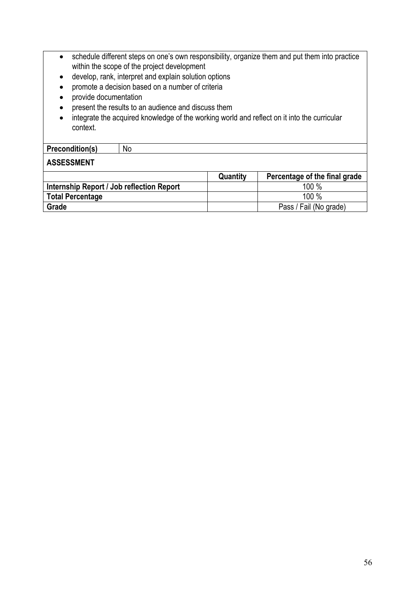| $\bullet$<br>$\bullet$<br>٠<br>context.   | schedule different steps on one's own responsibility, organize them and put them into practice<br>within the scope of the project development<br>develop, rank, interpret and explain solution options<br>promote a decision based on a number of criteria<br>provide documentation<br>present the results to an audience and discuss them<br>integrate the acquired knowledge of the working world and reflect on it into the curricular |          |                               |  |  |
|-------------------------------------------|-------------------------------------------------------------------------------------------------------------------------------------------------------------------------------------------------------------------------------------------------------------------------------------------------------------------------------------------------------------------------------------------------------------------------------------------|----------|-------------------------------|--|--|
| <b>Precondition(s)</b>                    | <b>No</b>                                                                                                                                                                                                                                                                                                                                                                                                                                 |          |                               |  |  |
| <b>ASSESSMENT</b>                         |                                                                                                                                                                                                                                                                                                                                                                                                                                           |          |                               |  |  |
|                                           |                                                                                                                                                                                                                                                                                                                                                                                                                                           | Quantity | Percentage of the final grade |  |  |
| Internship Report / Job reflection Report |                                                                                                                                                                                                                                                                                                                                                                                                                                           |          | 100 %                         |  |  |
| <b>Total Percentage</b>                   |                                                                                                                                                                                                                                                                                                                                                                                                                                           |          | 100 %                         |  |  |
| Grade                                     | Pass / Fail (No grade)                                                                                                                                                                                                                                                                                                                                                                                                                    |          |                               |  |  |
|                                           |                                                                                                                                                                                                                                                                                                                                                                                                                                           |          |                               |  |  |